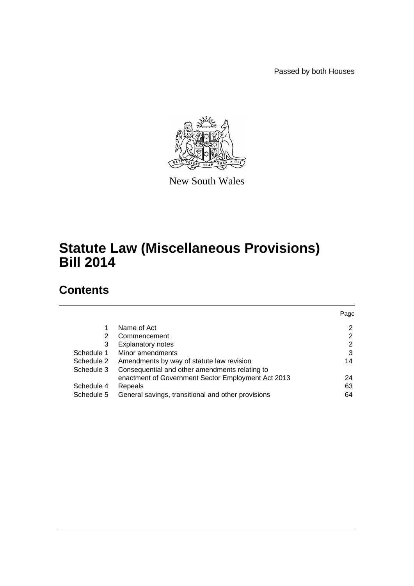Passed by both Houses



New South Wales

# **Statute Law (Miscellaneous Provisions) Bill 2014**

# **Contents**

|            |                                                    | Page |
|------------|----------------------------------------------------|------|
|            | Name of Act                                        | 2    |
| 2          | Commencement                                       | 2    |
| 3          | <b>Explanatory notes</b>                           | 2    |
| Schedule 1 | Minor amendments                                   | 3    |
| Schedule 2 | Amendments by way of statute law revision          | 14   |
| Schedule 3 | Consequential and other amendments relating to     |      |
|            | enactment of Government Sector Employment Act 2013 | 24   |
| Schedule 4 | Repeals                                            | 63   |
| Schedule 5 | General savings, transitional and other provisions | 64   |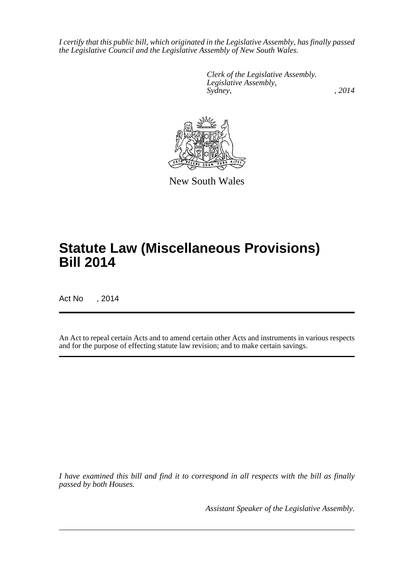*I certify that this public bill, which originated in the Legislative Assembly, has finally passed the Legislative Council and the Legislative Assembly of New South Wales.*

> *Clerk of the Legislative Assembly. Legislative Assembly, Sydney,* , 2014



New South Wales

# **Statute Law (Miscellaneous Provisions) Bill 2014**

Act No , 2014

An Act to repeal certain Acts and to amend certain other Acts and instruments in various respects and for the purpose of effecting statute law revision; and to make certain savings.

*I have examined this bill and find it to correspond in all respects with the bill as finally passed by both Houses.*

*Assistant Speaker of the Legislative Assembly.*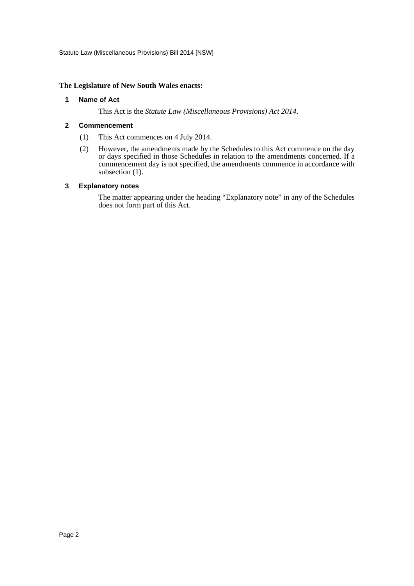Statute Law (Miscellaneous Provisions) Bill 2014 [NSW]

#### <span id="page-2-0"></span>**The Legislature of New South Wales enacts:**

#### **1 Name of Act**

This Act is the *Statute Law (Miscellaneous Provisions) Act 2014*.

#### <span id="page-2-1"></span>**2 Commencement**

- (1) This Act commences on 4 July 2014.
- (2) However, the amendments made by the Schedules to this Act commence on the day or days specified in those Schedules in relation to the amendments concerned. If a commencement day is not specified, the amendments commence in accordance with subsection  $(1)$ .

#### <span id="page-2-2"></span>**3 Explanatory notes**

The matter appearing under the heading "Explanatory note" in any of the Schedules does not form part of this Act.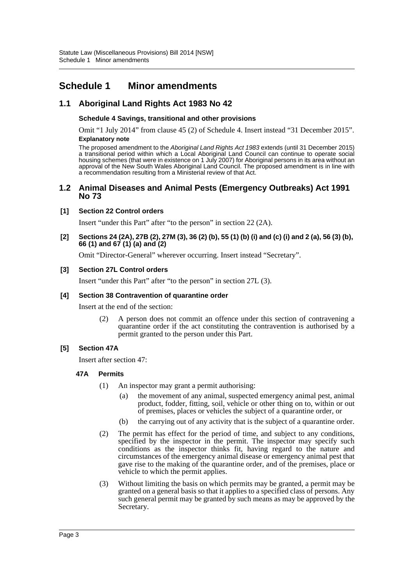# <span id="page-3-0"></span>**Schedule 1 Minor amendments**

# **1.1 Aboriginal Land Rights Act 1983 No 42**

### **Schedule 4 Savings, transitional and other provisions**

Omit "1 July 2014" from clause 45 (2) of Schedule 4. Insert instead "31 December 2015". **Explanatory note**

The proposed amendment to the *Aboriginal Land Rights Act 1983* extends (until 31 December 2015) a transitional period within which a Local Aboriginal Land Council can continue to operate social housing schemes (that were in existence on 1 July 2007) for Aboriginal persons in its area without an approval of the New South Wales Aboriginal Land Council. The proposed amendment is in line with a recommendation resulting from a Ministerial review of that Act.

### **1.2 Animal Diseases and Animal Pests (Emergency Outbreaks) Act 1991 No 73**

### **[1] Section 22 Control orders**

Insert "under this Part" after "to the person" in section 22 (2A).

**[2] Sections 24 (2A), 27B (2), 27M (3), 36 (2) (b), 55 (1) (b) (i) and (c) (i) and 2 (a), 56 (3) (b), 66 (1) and 67 (1) (a) and (2)**

Omit "Director-General" wherever occurring. Insert instead "Secretary".

### **[3] Section 27L Control orders**

Insert "under this Part" after "to the person" in section 27L (3).

### **[4] Section 38 Contravention of quarantine order**

Insert at the end of the section:

(2) A person does not commit an offence under this section of contravening a quarantine order if the act constituting the contravention is authorised by a permit granted to the person under this Part.

### **[5] Section 47A**

Insert after section 47:

### **47A Permits**

- (1) An inspector may grant a permit authorising:
	- (a) the movement of any animal, suspected emergency animal pest, animal product, fodder, fitting, soil, vehicle or other thing on to, within or out of premises, places or vehicles the subject of a quarantine order, or
	- (b) the carrying out of any activity that is the subject of a quarantine order.
- (2) The permit has effect for the period of time, and subject to any conditions, specified by the inspector in the permit. The inspector may specify such conditions as the inspector thinks fit, having regard to the nature and circumstances of the emergency animal disease or emergency animal pest that gave rise to the making of the quarantine order, and of the premises, place or vehicle to which the permit applies.
- (3) Without limiting the basis on which permits may be granted, a permit may be granted on a general basis so that it applies to a specified class of persons. Any such general permit may be granted by such means as may be approved by the Secretary.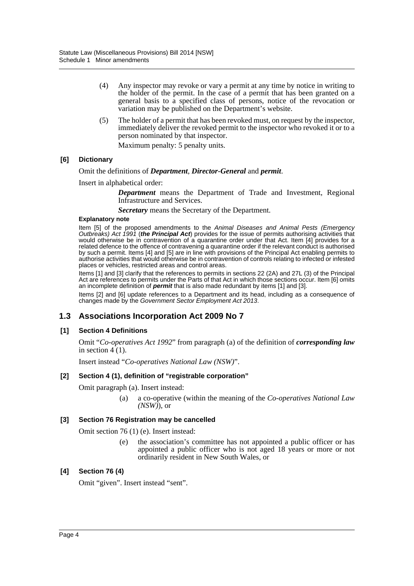- (4) Any inspector may revoke or vary a permit at any time by notice in writing to the holder of the permit. In the case of a permit that has been granted on a general basis to a specified class of persons, notice of the revocation or variation may be published on the Department's website.
- (5) The holder of a permit that has been revoked must, on request by the inspector, immediately deliver the revoked permit to the inspector who revoked it or to a person nominated by that inspector.

Maximum penalty: 5 penalty units.

### **[6] Dictionary**

### Omit the definitions of *Department*, *Director-General* and *permit*.

Insert in alphabetical order:

*Department* means the Department of Trade and Investment, Regional Infrastructure and Services.

*Secretary* means the Secretary of the Department.

#### **Explanatory note**

Item [5] of the proposed amendments to the *Animal Diseases and Animal Pests (Emergency Outbreaks) Act 1991* (*the Principal Act*) provides for the issue of permits authorising activities that would otherwise be in contravention of a quarantine order under that Act. Item [4] provides for a related defence to the offence of contravening a quarantine order if the relevant conduct is authorised by such a permit. Items [4] and [5] are in line with provisions of the Principal Act enabling permits to authorise activities that would otherwise be in contravention of controls relating to infected or infested places or vehicles, restricted areas and control areas.

Items [1] and [3] clarify that the references to permits in sections 22 (2A) and 27L (3) of the Principal Act are references to permits under the Parts of that Act in which those sections occur. Item [6] omits an incomplete definition of *permit* that is also made redundant by items [1] and [3].

Items [2] and [6] update references to a Department and its head, including as a consequence of changes made by the *Government Sector Employment Act 2013*.

# **1.3 Associations Incorporation Act 2009 No 7**

### **[1] Section 4 Definitions**

Omit "*Co-operatives Act 1992*" from paragraph (a) of the definition of *corresponding law* in section  $4(1)$ .

Insert instead "*Co-operatives National Law (NSW)*".

### **[2] Section 4 (1), definition of "registrable corporation"**

Omit paragraph (a). Insert instead:

(a) a co-operative (within the meaning of the *Co-operatives National Law (NSW)*), or

### **[3] Section 76 Registration may be cancelled**

Omit section 76 (1) (e). Insert instead:

(e) the association's committee has not appointed a public officer or has appointed a public officer who is not aged 18 years or more or not ordinarily resident in New South Wales, or

### **[4] Section 76 (4)**

Omit "given". Insert instead "sent".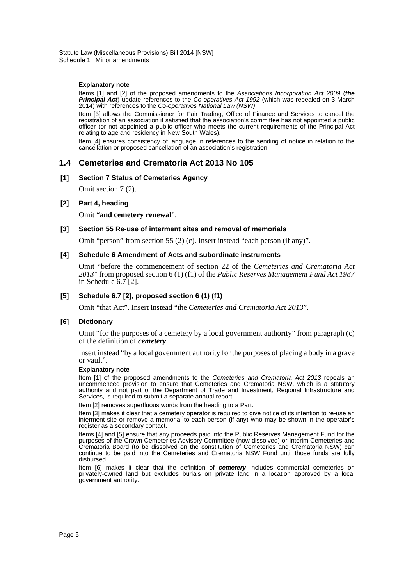#### **Explanatory note**

Items [1] and [2] of the proposed amendments to the *Associations Incorporation Act 2009* (*the Principal Act*) update references to the *Co-operatives Act 1992* (which was repealed on 3 March 2014) with references to the *Co-operatives National Law (NSW)*.

Item [3] allows the Commissioner for Fair Trading, Office of Finance and Services to cancel the registration of an association if satisfied that the association's committee has not appointed a public officer (or not appointed a public officer who meets the current requirements of the Principal Act relating to age and residency in New South Wales).

Item [4] ensures consistency of language in references to the sending of notice in relation to the cancellation or proposed cancellation of an association's registration.

### **1.4 Cemeteries and Crematoria Act 2013 No 105**

#### **[1] Section 7 Status of Cemeteries Agency**

Omit section 7 (2).

#### **[2] Part 4, heading**

Omit "**and cemetery renewal**".

#### **[3] Section 55 Re-use of interment sites and removal of memorials**

Omit "person" from section 55 (2) (c). Insert instead "each person (if any)".

#### **[4] Schedule 6 Amendment of Acts and subordinate instruments**

Omit "before the commencement of section 22 of the *Cemeteries and Crematoria Act 2013*" from proposed section 6 (1) (f1) of the *Public Reserves Management Fund Act 1987* in Schedule  $6.7$  [2].

#### **[5] Schedule 6.7 [2], proposed section 6 (1) (f1)**

Omit "that Act". Insert instead "the *Cemeteries and Crematoria Act 2013*".

#### **[6] Dictionary**

Omit "for the purposes of a cemetery by a local government authority" from paragraph (c) of the definition of *cemetery*.

Insert instead "by a local government authority for the purposes of placing a body in a grave or vault".

#### **Explanatory note**

Item [1] of the proposed amendments to the *Cemeteries and Crematoria Act 2013* repeals an uncommenced provision to ensure that Cemeteries and Crematoria NSW, which is a statutory authority and not part of the Department of Trade and Investment, Regional Infrastructure and Services, is required to submit a separate annual report.

Item [2] removes superfluous words from the heading to a Part.

Item [3] makes it clear that a cemetery operator is required to give notice of its intention to re-use an interment site or remove a memorial to each person (if any) who may be shown in the operator's register as a secondary contact.

Items [4] and [5] ensure that any proceeds paid into the Public Reserves Management Fund for the purposes of the Crown Cemeteries Advisory Committee (now dissolved) or Interim Cemeteries and Crematoria Board (to be dissolved on the constitution of Cemeteries and Crematoria NSW) can continue to be paid into the Cemeteries and Crematoria NSW Fund until those funds are fully disbursed.

Item [6] makes it clear that the definition of *cemetery* includes commercial cemeteries on privately-owned land but excludes burials on private land in a location approved by a local government authority.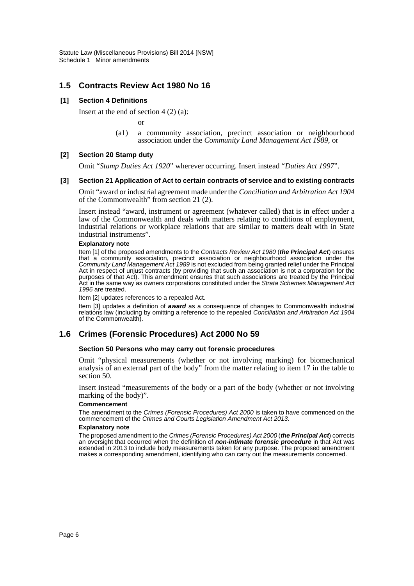## **1.5 Contracts Review Act 1980 No 16**

### **[1] Section 4 Definitions**

Insert at the end of section  $4(2)(a)$ :

or

(a1) a community association, precinct association or neighbourhood association under the *Community Land Management Act 1989*, or

#### **[2] Section 20 Stamp duty**

Omit "*Stamp Duties Act 1920*" wherever occurring. Insert instead "*Duties Act 1997*".

#### **[3] Section 21 Application of Act to certain contracts of service and to existing contracts**

Omit "award or industrial agreement made under the *Conciliation and Arbitration Act 1904* of the Commonwealth" from section 21 (2).

Insert instead "award, instrument or agreement (whatever called) that is in effect under a law of the Commonwealth and deals with matters relating to conditions of employment, industrial relations or workplace relations that are similar to matters dealt with in State industrial instruments".

#### **Explanatory note**

Item [1] of the proposed amendments to the *Contracts Review Act 1980* (*the Principal Act*) ensures that a community association, precinct association or neighbourhood association under the *Community Land Management Act 1989* is not excluded from being granted relief under the Principal Act in respect of unjust contracts (by providing that such an association is not a corporation for the purposes of that Act). This amendment ensures that such associations are treated by the Principal Act in the same way as owners corporations constituted under the *Strata Schemes Management Act 1996* are treated.

Item [2] updates references to a repealed Act.

Item [3] updates a definition of *award* as a consequence of changes to Commonwealth industrial relations law (including by omitting a reference to the repealed *Conciliation and Arbitration Act 1904* of the Commonwealth).

# **1.6 Crimes (Forensic Procedures) Act 2000 No 59**

#### **Section 50 Persons who may carry out forensic procedures**

Omit "physical measurements (whether or not involving marking) for biomechanical analysis of an external part of the body" from the matter relating to item 17 in the table to section 50.

Insert instead "measurements of the body or a part of the body (whether or not involving marking of the body)".

#### **Commencement**

The amendment to the *Crimes (Forensic Procedures) Act 2000* is taken to have commenced on the commencement of the *Crimes and Courts Legislation Amendment Act 2013*.

#### **Explanatory note**

The proposed amendment to the *Crimes (Forensic Procedures) Act 2000* (*the Principal Act*) corrects an oversight that occurred when the definition of *non-intimate forensic procedure* in that Act was extended in 2013 to include body measurements taken for any purpose. The proposed amendment makes a corresponding amendment, identifying who can carry out the measurements concerned.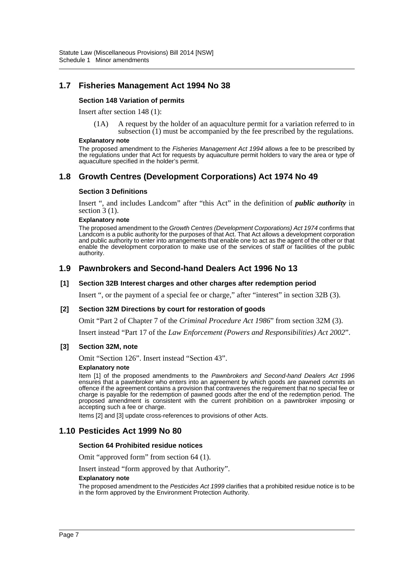# **1.7 Fisheries Management Act 1994 No 38**

#### **Section 148 Variation of permits**

Insert after section 148 (1):

(1A) A request by the holder of an aquaculture permit for a variation referred to in subsection  $(1)$  must be accompanied by the fee prescribed by the regulations.

#### **Explanatory note**

The proposed amendment to the *Fisheries Management Act 1994* allows a fee to be prescribed by the regulations under that Act for requests by aquaculture permit holders to vary the area or type of aquaculture specified in the holder's permit.

## **1.8 Growth Centres (Development Corporations) Act 1974 No 49**

#### **Section 3 Definitions**

Insert ", and includes Landcom" after "this Act" in the definition of *public authority* in section  $3(1)$ .

#### **Explanatory note**

The proposed amendment to the *Growth Centres (Development Corporations) Act 1974* confirms that Landcom is a public authority for the purposes of that Act. That Act allows a development corporation and public authority to enter into arrangements that enable one to act as the agent of the other or that enable the development corporation to make use of the services of staff or facilities of the public authority.

### **1.9 Pawnbrokers and Second-hand Dealers Act 1996 No 13**

#### **[1] Section 32B Interest charges and other charges after redemption period**

Insert ", or the payment of a special fee or charge," after "interest" in section 32B (3).

#### **[2] Section 32M Directions by court for restoration of goods**

Omit "Part 2 of Chapter 7 of the *Criminal Procedure Act 1986*" from section 32M (3).

Insert instead "Part 17 of the *Law Enforcement (Powers and Responsibilities) Act 2002*".

#### **[3] Section 32M, note**

Omit "Section 126". Insert instead "Section 43".

#### **Explanatory note**

Item [1] of the proposed amendments to the *Pawnbrokers and Second-hand Dealers Act 1996* ensures that a pawnbroker who enters into an agreement by which goods are pawned commits an offence if the agreement contains a provision that contravenes the requirement that no special fee or charge is payable for the redemption of pawned goods after the end of the redemption period. The proposed amendment is consistent with the current prohibition on a pawnbroker imposing or accepting such a fee or charge.

Items [2] and [3] update cross-references to provisions of other Acts.

### **1.10 Pesticides Act 1999 No 80**

#### **Section 64 Prohibited residue notices**

Omit "approved form" from section 64 (1).

Insert instead "form approved by that Authority".

#### **Explanatory note**

The proposed amendment to the *Pesticides Act 1999* clarifies that a prohibited residue notice is to be in the form approved by the Environment Protection Authority.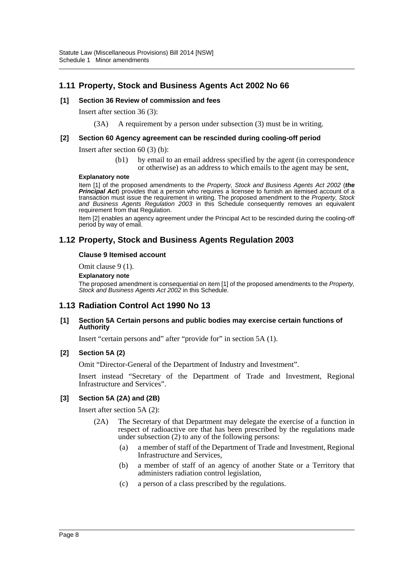# **1.11 Property, Stock and Business Agents Act 2002 No 66**

#### **[1] Section 36 Review of commission and fees**

Insert after section 36 (3):

(3A) A requirement by a person under subsection (3) must be in writing.

#### **[2] Section 60 Agency agreement can be rescinded during cooling-off period**

Insert after section 60 (3) (b):

(b1) by email to an email address specified by the agent (in correspondence or otherwise) as an address to which emails to the agent may be sent,

#### **Explanatory note**

Item [1] of the proposed amendments to the *Property, Stock and Business Agents Act 2002* (*the* **Principal Act**) provides that a person who requires a licensee to furnish an itemised account of a transaction must issue the requirement in writing. The proposed amendment to the *Property, Stock and Business Agents Regulation 2003* in this Schedule consequently removes an equivalent requirement from that Regulation.

Item [2] enables an agency agreement under the Principal Act to be rescinded during the cooling-off period by way of email.

# **1.12 Property, Stock and Business Agents Regulation 2003**

#### **Clause 9 Itemised account**

Omit clause 9 (1).

#### **Explanatory note**

The proposed amendment is consequential on item [1] of the proposed amendments to the *Property, Stock and Business Agents Act 2002* in this Schedule.

### **1.13 Radiation Control Act 1990 No 13**

#### **[1] Section 5A Certain persons and public bodies may exercise certain functions of Authority**

Insert "certain persons and" after "provide for" in section 5A (1).

### **[2] Section 5A (2)**

Omit "Director-General of the Department of Industry and Investment".

Insert instead "Secretary of the Department of Trade and Investment, Regional Infrastructure and Services".

#### **[3] Section 5A (2A) and (2B)**

Insert after section 5A (2):

- (2A) The Secretary of that Department may delegate the exercise of a function in respect of radioactive ore that has been prescribed by the regulations made under subsection (2) to any of the following persons:
	- (a) a member of staff of the Department of Trade and Investment, Regional Infrastructure and Services,
	- (b) a member of staff of an agency of another State or a Territory that administers radiation control legislation,
	- (c) a person of a class prescribed by the regulations.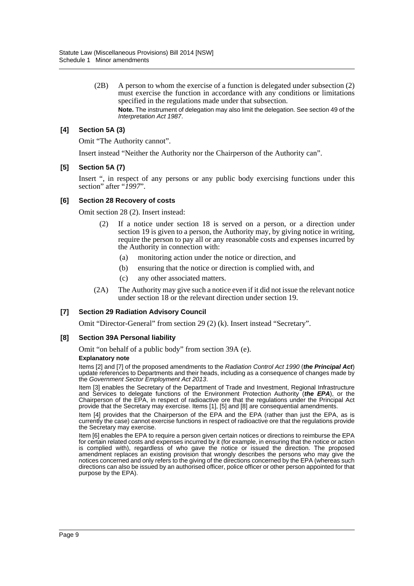(2B) A person to whom the exercise of a function is delegated under subsection (2) must exercise the function in accordance with any conditions or limitations specified in the regulations made under that subsection. **Note.** The instrument of delegation may also limit the delegation. See section 49 of the *Interpretation Act 1987*.

### **[4] Section 5A (3)**

Omit "The Authority cannot".

Insert instead "Neither the Authority nor the Chairperson of the Authority can".

#### **[5] Section 5A (7)**

Insert ", in respect of any persons or any public body exercising functions under this section" after "*1997*".

#### **[6] Section 28 Recovery of costs**

Omit section 28 (2). Insert instead:

- (2) If a notice under section 18 is served on a person, or a direction under section 19 is given to a person, the Authority may, by giving notice in writing, require the person to pay all or any reasonable costs and expenses incurred by the Authority in connection with:
	- (a) monitoring action under the notice or direction, and
	- (b) ensuring that the notice or direction is complied with, and
	- (c) any other associated matters.
- (2A) The Authority may give such a notice even if it did not issue the relevant notice under section 18 or the relevant direction under section 19.

### **[7] Section 29 Radiation Advisory Council**

Omit "Director-General" from section 29 (2) (k). Insert instead "Secretary".

### **[8] Section 39A Personal liability**

Omit "on behalf of a public body" from section 39A (e).

#### **Explanatory note**

Items [2] and [7] of the proposed amendments to the *Radiation Control Act 1990* (*the Principal Act*) update references to Departments and their heads, including as a consequence of changes made by the *Government Sector Employment Act 2013*.

Item [3] enables the Secretary of the Department of Trade and Investment, Regional Infrastructure and Services to delegate functions of the Environment Protection Authority (*the EPA*), or the Chairperson of the EPA, in respect of radioactive ore that the regulations under the Principal Act provide that the Secretary may exercise. Items [1], [5] and [8] are consequential amendments.

Item [4] provides that the Chairperson of the EPA and the EPA (rather than just the EPA, as is currently the case) cannot exercise functions in respect of radioactive ore that the regulations provide the Secretary may exercise.

Item [6] enables the EPA to require a person given certain notices or directions to reimburse the EPA for certain related costs and expenses incurred by it (for example, in ensuring that the notice or action is complied with), regardless of who gave the notice or issued the direction. The proposed amendment replaces an existing provision that wrongly describes the persons who may give the notices concerned and only refers to the giving of the directions concerned by the EPA (whereas such directions can also be issued by an authorised officer, police officer or other person appointed for that purpose by the EPA).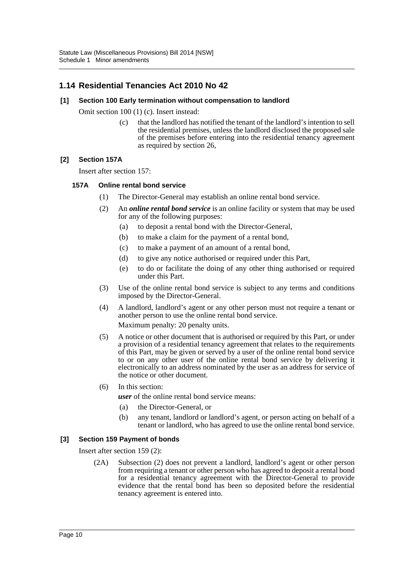# **1.14 Residential Tenancies Act 2010 No 42**

### **[1] Section 100 Early termination without compensation to landlord**

Omit section 100 (1) (c). Insert instead:

(c) that the landlord has notified the tenant of the landlord's intention to sell the residential premises, unless the landlord disclosed the proposed sale of the premises before entering into the residential tenancy agreement as required by section 26,

### **[2] Section 157A**

Insert after section 157:

### **157A Online rental bond service**

- (1) The Director-General may establish an online rental bond service.
- (2) An *online rental bond service* is an online facility or system that may be used for any of the following purposes:
	- (a) to deposit a rental bond with the Director-General,
	- (b) to make a claim for the payment of a rental bond,
	- (c) to make a payment of an amount of a rental bond,
	- (d) to give any notice authorised or required under this Part,
	- (e) to do or facilitate the doing of any other thing authorised or required under this Part.
- (3) Use of the online rental bond service is subject to any terms and conditions imposed by the Director-General.
- (4) A landlord, landlord's agent or any other person must not require a tenant or another person to use the online rental bond service. Maximum penalty: 20 penalty units.
- (5) A notice or other document that is authorised or required by this Part, or under a provision of a residential tenancy agreement that relates to the requirements of this Part, may be given or served by a user of the online rental bond service to or on any other user of the online rental bond service by delivering it electronically to an address nominated by the user as an address for service of the notice or other document.
- (6) In this section:

*user* of the online rental bond service means:

- (a) the Director-General, or
- (b) any tenant, landlord or landlord's agent, or person acting on behalf of a tenant or landlord, who has agreed to use the online rental bond service.

### **[3] Section 159 Payment of bonds**

Insert after section 159 (2):

(2A) Subsection (2) does not prevent a landlord, landlord's agent or other person from requiring a tenant or other person who has agreed to deposit a rental bond for a residential tenancy agreement with the Director-General to provide evidence that the rental bond has been so deposited before the residential tenancy agreement is entered into.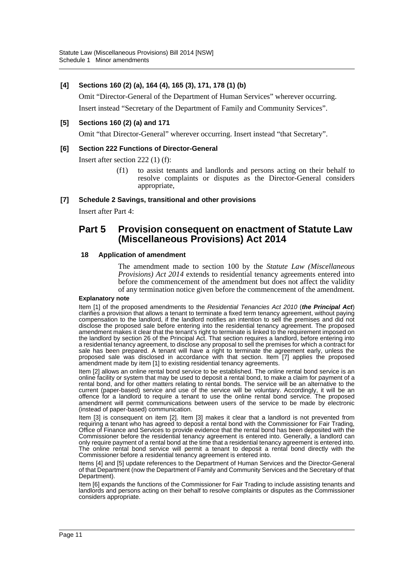### **[4] Sections 160 (2) (a), 164 (4), 165 (3), 171, 178 (1) (b)**

Omit "Director-General of the Department of Human Services" wherever occurring.

Insert instead "Secretary of the Department of Family and Community Services".

### **[5] Sections 160 (2) (a) and 171**

Omit "that Director-General" wherever occurring. Insert instead "that Secretary".

### **[6] Section 222 Functions of Director-General**

Insert after section 222 (1) (f):

(f1) to assist tenants and landlords and persons acting on their behalf to resolve complaints or disputes as the Director-General considers appropriate,

### **[7] Schedule 2 Savings, transitional and other provisions**

Insert after Part 4:

# **Part 5 Provision consequent on enactment of Statute Law (Miscellaneous Provisions) Act 2014**

### **18 Application of amendment**

The amendment made to section 100 by the *Statute Law (Miscellaneous Provisions) Act 2014* extends to residential tenancy agreements entered into before the commencement of the amendment but does not affect the validity of any termination notice given before the commencement of the amendment.

#### **Explanatory note**

Item [1] of the proposed amendments to the *Residential Tenancies Act 2010* (*the Principal Act*) clarifies a provision that allows a tenant to terminate a fixed term tenancy agreement, without paying compensation to the landlord, if the landlord notifies an intention to sell the premises and did not disclose the proposed sale before entering into the residential tenancy agreement. The proposed amendment makes it clear that the tenant's right to terminate is linked to the requirement imposed on the landlord by section 26 of the Principal Act. That section requires a landlord, before entering into a residential tenancy agreement, to disclose any proposal to sell the premises for which a contract for sale has been prepared. A tenant will have a right to terminate the agreement early, unless the proposed sale was disclosed in accordance with that section. Item [7] applies the proposed amendment made by item [1] to existing residential tenancy agreements.

Item [2] allows an online rental bond service to be established. The online rental bond service is an online facility or system that may be used to deposit a rental bond, to make a claim for payment of a rental bond, and for other matters relating to rental bonds. The service will be an alternative to the current (paper-based) service and use of the service will be voluntary. Accordingly, it will be an offence for a landlord to require a tenant to use the online rental bond service. The proposed amendment will permit communications between users of the service to be made by electronic (instead of paper-based) communication.

Item [3] is consequent on item [2]. Item [3] makes it clear that a landlord is not prevented from requiring a tenant who has agreed to deposit a rental bond with the Commissioner for Fair Trading, Office of Finance and Services to provide evidence that the rental bond has been deposited with the Commissioner before the residential tenancy agreement is entered into. Generally, a landlord can only require payment of a rental bond at the time that a residential tenancy agreement is entered into. The online rental bond service will permit a tenant to deposit a rental bond directly with the Commissioner before a residential tenancy agreement is entered into.

Items [4] and [5] update references to the Department of Human Services and the Director-General of that Department (now the Department of Family and Community Services and the Secretary of that Department).

Item [6] expands the functions of the Commissioner for Fair Trading to include assisting tenants and landlords and persons acting on their behalf to resolve complaints or disputes as the Commissioner considers appropriate.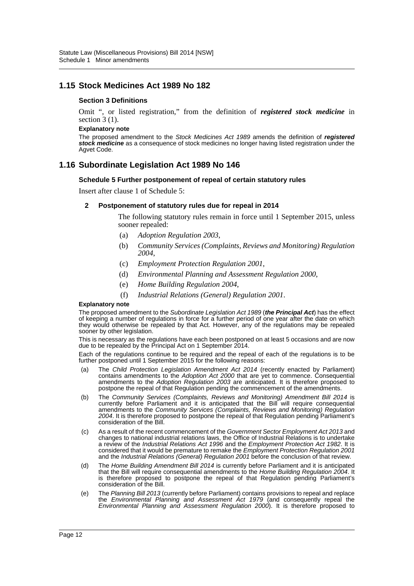## **1.15 Stock Medicines Act 1989 No 182**

#### **Section 3 Definitions**

Omit ", or listed registration," from the definition of *registered stock medicine* in section  $3(1)$ .

#### **Explanatory note**

The proposed amendment to the *Stock Medicines Act 1989* amends the definition of *registered stock medicine* as a consequence of stock medicines no longer having listed registration under the Agvet Code.

### **1.16 Subordinate Legislation Act 1989 No 146**

#### **Schedule 5 Further postponement of repeal of certain statutory rules**

Insert after clause 1 of Schedule 5:

#### **2 Postponement of statutory rules due for repeal in 2014**

The following statutory rules remain in force until 1 September 2015, unless sooner repealed:

- (a) *Adoption Regulation 2003*,
- (b) *Community Services (Complaints, Reviews and Monitoring) Regulation 2004*,
- (c) *Employment Protection Regulation 2001*,
- (d) *Environmental Planning and Assessment Regulation 2000*,
- (e) *Home Building Regulation 2004*,
- (f) *Industrial Relations (General) Regulation 2001*.

#### **Explanatory note**

The proposed amendment to the *Subordinate Legislation Act 1989* (*the Principal Act*) has the effect of keeping a number of regulations in force for a further period of one year after the date on which they would otherwise be repealed by that Act. However, any of the regulations may be repealed sooner by other legislation.

This is necessary as the regulations have each been postponed on at least 5 occasions and are now due to be repealed by the Principal Act on 1 September 2014.

Each of the regulations continue to be required and the repeal of each of the regulations is to be further postponed until 1 September 2015 for the following reasons:

- (a) The *Child Protection Legislation Amendment Act 2014* (recently enacted by Parliament) contains amendments to the *Adoption Act 2000* that are yet to commence. Consequential amendments to the *Adoption Regulation 2003* are anticipated. It is therefore proposed to postpone the repeal of that Regulation pending the commencement of the amendments.
- (b) The *Community Services (Complaints, Reviews and Monitoring) Amendment Bill 2014* is currently before Parliament and it is anticipated that the Bill will require consequential amendments to the *Community Services (Complaints, Reviews and Monitoring) Regulation 2004*. It is therefore proposed to postpone the repeal of that Regulation pending Parliament's consideration of the Bill.
- (c) As a result of the recent commencement of the *Government Sector Employment Act 2013* and changes to national industrial relations laws, the Office of Industrial Relations is to undertake a review of the *Industrial Relations Act 1996* and the *Employment Protection Act 1982*. It is considered that it would be premature to remake the *Employment Protection Regulation 2001* and the *Industrial Relations (General) Regulation 2001* before the conclusion of that review.
- (d) The *Home Building Amendment Bill 2014* is currently before Parliament and it is anticipated that the Bill will require consequential amendments to the *Home Building Regulation 2004*. It is therefore proposed to postpone the repeal of that Regulation pending Parliament's consideration of the Bill.
- (e) The *Planning Bill 2013* (currently before Parliament) contains provisions to repeal and replace the *Environmental Planning and Assessment Act 1979* (and consequently repeal the *Environmental Planning and Assessment Regulation 2000*). It is therefore proposed to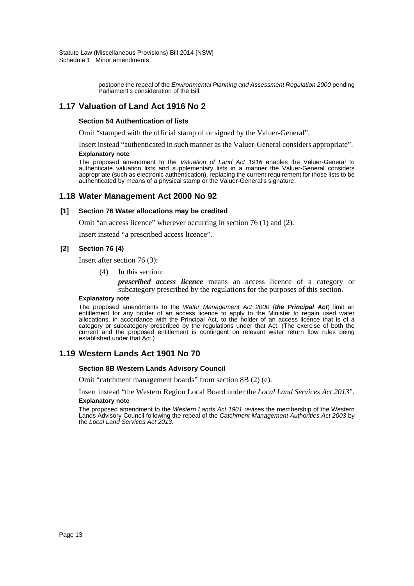postpone the repeal of the *Environmental Planning and Assessment Regulation 2000* pending Parliament's consideration of the Bill.

## **1.17 Valuation of Land Act 1916 No 2**

#### **Section 54 Authentication of lists**

Omit "stamped with the official stamp of or signed by the Valuer-General".

Insert instead "authenticated in such manner as the Valuer-General considers appropriate". **Explanatory note**

The proposed amendment to the *Valuation of Land Act 1916* enables the Valuer-General to authenticate valuation lists and supplementary lists in a manner the Valuer-General considers appropriate (such as electronic authentication), replacing the current requirement for those lists to be authenticated by means of a physical stamp or the Valuer-General's signature.

### **1.18 Water Management Act 2000 No 92**

#### **[1] Section 76 Water allocations may be credited**

Omit "an access licence" wherever occurring in section 76 (1) and (2).

Insert instead "a prescribed access licence".

#### **[2] Section 76 (4)**

Insert after section 76 (3):

(4) In this section:

*prescribed access licence* means an access licence of a category or subcategory prescribed by the regulations for the purposes of this section.

#### **Explanatory note**

The proposed amendments to the *Water Management Act 2000* (*the Principal Act*) limit an entitlement for any holder of an access licence to apply to the Minister to regain used water allocations, in accordance with the Principal Act, to the holder of an access licence that is of a category or subcategory prescribed by the regulations under that Act. (The exercise of both the current and the proposed entitlement is contingent on relevant water return flow rules being established under that Act.)

### **1.19 Western Lands Act 1901 No 70**

#### **Section 8B Western Lands Advisory Council**

Omit "catchment management boards" from section 8B (2) (e).

Insert instead "the Western Region Local Board under the *Local Land Services Act 2013*". **Explanatory note**

The proposed amendment to the *Western Lands Act 1901* revises the membership of the Western Lands Advisory Council following the repeal of the *Catchment Management Authorities Act 2003* by the *Local Land Services Act 2013*.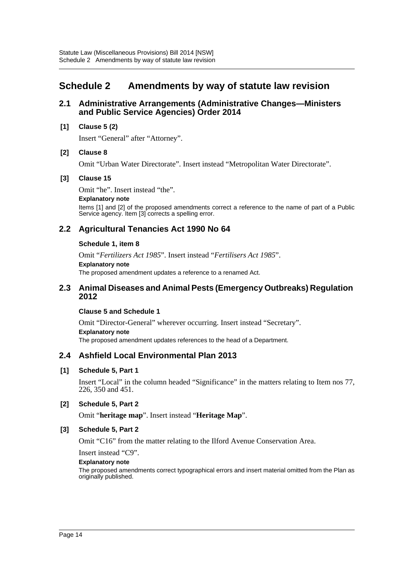# <span id="page-14-0"></span>**Schedule 2 Amendments by way of statute law revision**

### **2.1 Administrative Arrangements (Administrative Changes—Ministers and Public Service Agencies) Order 2014**

### **[1] Clause 5 (2)**

Insert "General" after "Attorney".

### **[2] Clause 8**

Omit "Urban Water Directorate". Insert instead "Metropolitan Water Directorate".

### **[3] Clause 15**

Omit "he". Insert instead "the".

#### **Explanatory note**

Items [1] and [2] of the proposed amendments correct a reference to the name of part of a Public Service agency. Item [3] corrects a spelling error.

# **2.2 Agricultural Tenancies Act 1990 No 64**

### **Schedule 1, item 8**

Omit "*Fertilizers Act 1985*". Insert instead "*Fertilisers Act 1985*". **Explanatory note** The proposed amendment updates a reference to a renamed Act.

### **2.3 Animal Diseases and Animal Pests (Emergency Outbreaks) Regulation 2012**

### **Clause 5 and Schedule 1**

Omit "Director-General" wherever occurring. Insert instead "Secretary". **Explanatory note** The proposed amendment updates references to the head of a Department.

# **2.4 Ashfield Local Environmental Plan 2013**

### **[1] Schedule 5, Part 1**

Insert "Local" in the column headed "Significance" in the matters relating to Item nos 77, 226, 350 and 451.

### **[2] Schedule 5, Part 2**

Omit "**heritage map**". Insert instead "**Heritage Map**".

### **[3] Schedule 5, Part 2**

Omit "C16" from the matter relating to the Ilford Avenue Conservation Area.

Insert instead "C9".

### **Explanatory note**

The proposed amendments correct typographical errors and insert material omitted from the Plan as originally published.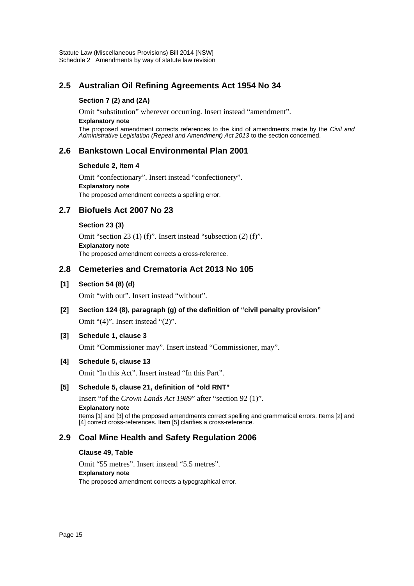# **2.5 Australian Oil Refining Agreements Act 1954 No 34**

### **Section 7 (2) and (2A)**

Omit "substitution" wherever occurring. Insert instead "amendment".

#### **Explanatory note**

The proposed amendment corrects references to the kind of amendments made by the *Civil and Administrative Legislation (Repeal and Amendment) Act 2013* to the section concerned.

# **2.6 Bankstown Local Environmental Plan 2001**

### **Schedule 2, item 4**

Omit "confectionary". Insert instead "confectionery". **Explanatory note** The proposed amendment corrects a spelling error.

# **2.7 Biofuels Act 2007 No 23**

### **Section 23 (3)**

Omit "section 23 (1) (f)". Insert instead "subsection (2) (f)". **Explanatory note** The proposed amendment corrects a cross-reference.

# **2.8 Cemeteries and Crematoria Act 2013 No 105**

## **[1] Section 54 (8) (d)**

Omit "with out". Insert instead "without".

# **[2] Section 124 (8), paragraph (g) of the definition of "civil penalty provision"**

Omit "(4)". Insert instead "(2)".

### **[3] Schedule 1, clause 3**

Omit "Commissioner may". Insert instead "Commissioner, may".

### **[4] Schedule 5, clause 13**

Omit "In this Act". Insert instead "In this Part".

### **[5] Schedule 5, clause 21, definition of "old RNT"**

Insert "of the *Crown Lands Act 1989*" after "section 92 (1)". **Explanatory note** Items [1] and [3] of the proposed amendments correct spelling and grammatical errors. Items [2] and [4] correct cross-references. Item [5] clarifies a cross-reference.

# **2.9 Coal Mine Health and Safety Regulation 2006**

### **Clause 49, Table**

Omit "55 metres". Insert instead "5.5 metres".

### **Explanatory note**

The proposed amendment corrects a typographical error.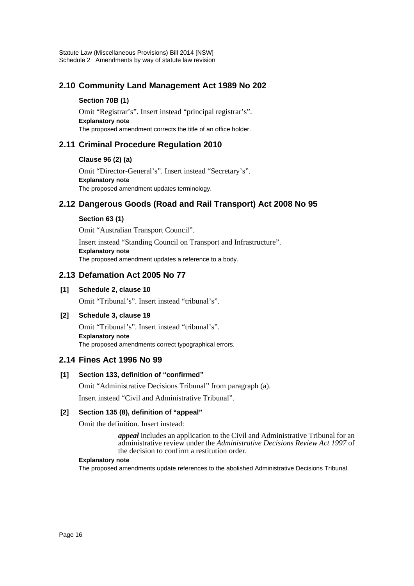# **2.10 Community Land Management Act 1989 No 202**

### **Section 70B (1)**

Omit "Registrar's". Insert instead "principal registrar's". **Explanatory note** The proposed amendment corrects the title of an office holder.

## **2.11 Criminal Procedure Regulation 2010**

### **Clause 96 (2) (a)**

Omit "Director-General's". Insert instead "Secretary's". **Explanatory note** The proposed amendment updates terminology.

# **2.12 Dangerous Goods (Road and Rail Transport) Act 2008 No 95**

### **Section 63 (1)**

Omit "Australian Transport Council".

Insert instead "Standing Council on Transport and Infrastructure". **Explanatory note** The proposed amendment updates a reference to a body.

## **2.13 Defamation Act 2005 No 77**

### **[1] Schedule 2, clause 10**

Omit "Tribunal's". Insert instead "tribunal's".

### **[2] Schedule 3, clause 19**

Omit "Tribunal's". Insert instead "tribunal's". **Explanatory note** The proposed amendments correct typographical errors.

### **2.14 Fines Act 1996 No 99**

### **[1] Section 133, definition of "confirmed"**

Omit "Administrative Decisions Tribunal" from paragraph (a). Insert instead "Civil and Administrative Tribunal".

# **[2] Section 135 (8), definition of "appeal"**

Omit the definition. Insert instead:

*appeal* includes an application to the Civil and Administrative Tribunal for an administrative review under the *Administrative Decisions Review Act 1997* of the decision to confirm a restitution order.

#### **Explanatory note**

The proposed amendments update references to the abolished Administrative Decisions Tribunal.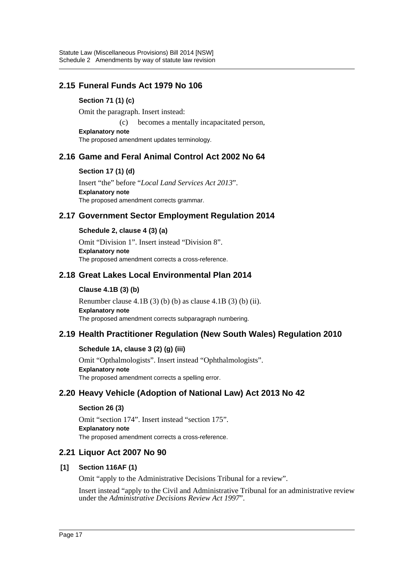# **2.15 Funeral Funds Act 1979 No 106**

### **Section 71 (1) (c)**

Omit the paragraph. Insert instead:

(c) becomes a mentally incapacitated person,

**Explanatory note** The proposed amendment updates terminology.

# **2.16 Game and Feral Animal Control Act 2002 No 64**

### **Section 17 (1) (d)**

Insert "the" before "*Local Land Services Act 2013*". **Explanatory note** The proposed amendment corrects grammar.

# **2.17 Government Sector Employment Regulation 2014**

### **Schedule 2, clause 4 (3) (a)**

Omit "Division 1". Insert instead "Division 8". **Explanatory note** The proposed amendment corrects a cross-reference.

# **2.18 Great Lakes Local Environmental Plan 2014**

### **Clause 4.1B (3) (b)**

Renumber clause  $4.1B(3)$  (b) (b) as clause  $4.1B(3)$  (b) (ii). **Explanatory note** The proposed amendment corrects subparagraph numbering.

# **2.19 Health Practitioner Regulation (New South Wales) Regulation 2010**

### **Schedule 1A, clause 3 (2) (g) (iii)**

Omit "Opthalmologists". Insert instead "Ophthalmologists". **Explanatory note** The proposed amendment corrects a spelling error.

# **2.20 Heavy Vehicle (Adoption of National Law) Act 2013 No 42**

### **Section 26 (3)**

Omit "section 174". Insert instead "section 175". **Explanatory note** The proposed amendment corrects a cross-reference.

### **2.21 Liquor Act 2007 No 90**

### **[1] Section 116AF (1)**

Omit "apply to the Administrative Decisions Tribunal for a review".

Insert instead "apply to the Civil and Administrative Tribunal for an administrative review under the *Administrative Decisions Review Act 1997*".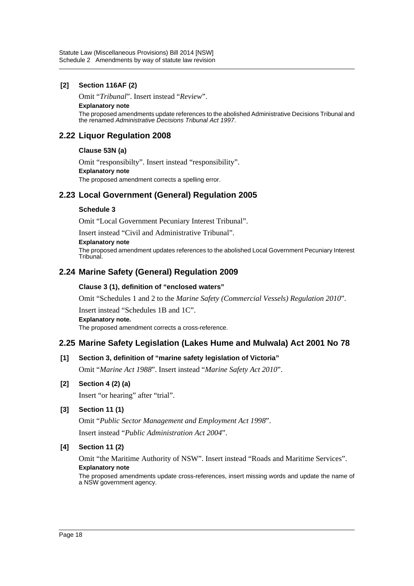### **[2] Section 116AF (2)**

Omit "*Tribunal*". Insert instead "*Review*".

#### **Explanatory note**

The proposed amendments update references to the abolished Administrative Decisions Tribunal and the renamed *Administrative Decisions Tribunal Act 1997*.

# **2.22 Liquor Regulation 2008**

### **Clause 53N (a)**

Omit "responsibilty". Insert instead "responsibility". **Explanatory note** The proposed amendment corrects a spelling error.

# **2.23 Local Government (General) Regulation 2005**

### **Schedule 3**

Omit "Local Government Pecuniary Interest Tribunal".

Insert instead "Civil and Administrative Tribunal".

#### **Explanatory note**

The proposed amendment updates references to the abolished Local Government Pecuniary Interest **Tribunal** 

# **2.24 Marine Safety (General) Regulation 2009**

### **Clause 3 (1), definition of "enclosed waters"**

Omit "Schedules 1 and 2 to the *Marine Safety (Commercial Vessels) Regulation 2010*".

Insert instead "Schedules 1B and 1C".

### **Explanatory note.**

The proposed amendment corrects a cross-reference.

# **2.25 Marine Safety Legislation (Lakes Hume and Mulwala) Act 2001 No 78**

### **[1] Section 3, definition of "marine safety legislation of Victoria"**

Omit "*Marine Act 1988*". Insert instead "*Marine Safety Act 2010*".

### **[2] Section 4 (2) (a)**

Insert "or hearing" after "trial".

### **[3] Section 11 (1)**

Omit "*Public Sector Management and Employment Act 1998*". Insert instead "*Public Administration Act 2004*".

### **[4] Section 11 (2)**

Omit "the Maritime Authority of NSW". Insert instead "Roads and Maritime Services". **Explanatory note**

The proposed amendments update cross-references, insert missing words and update the name of a NSW government agency.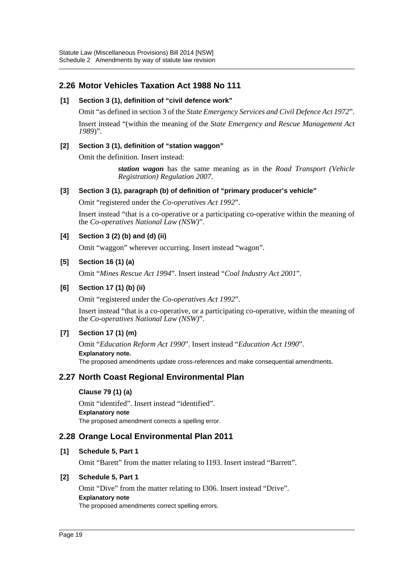# **2.26 Motor Vehicles Taxation Act 1988 No 111**

### **[1] Section 3 (1), definition of "civil defence work"**

Omit "as defined in section 3 of the *State Emergency Services and Civil Defence Act 1972*".

Insert instead "(within the meaning of the *State Emergency and Rescue Management Act 1989*)".

### **[2] Section 3 (1), definition of "station waggon"**

Omit the definition. Insert instead:

*station wagon* has the same meaning as in the *Road Transport (Vehicle Registration) Regulation 2007*.

### **[3] Section 3 (1), paragraph (b) of definition of "primary producer's vehicle"**

Omit "registered under the *Co-operatives Act 1992*".

Insert instead "that is a co-operative or a participating co-operative within the meaning of the *Co-operatives National Law (NSW)*".

### **[4] Section 3 (2) (b) and (d) (ii)**

Omit "waggon" wherever occurring. Insert instead "wagon".

### **[5] Section 16 (1) (a)**

Omit "*Mines Rescue Act 1994*". Insert instead "*Coal Industry Act 2001*".

### **[6] Section 17 (1) (b) (ii)**

Omit "registered under the *Co-operatives Act 1992*".

Insert instead "that is a co-operative, or a participating co-operative, within the meaning of the *Co-operatives National Law (NSW)*".

### **[7] Section 17 (1) (m)**

Omit "*Education Reform Act 1990*". Insert instead "*Education Act 1990*". **Explanatory note.** The proposed amendments update cross-references and make consequential amendments.

# **2.27 North Coast Regional Environmental Plan**

### **Clause 79 (1) (a)**

Omit "identifed". Insert instead "identified". **Explanatory note** The proposed amendment corrects a spelling error.

### **2.28 Orange Local Environmental Plan 2011**

### **[1] Schedule 5, Part 1**

Omit "Barett" from the matter relating to I193. Insert instead "Barrett".

### **[2] Schedule 5, Part 1**

Omit "Dive" from the matter relating to I306. Insert instead "Drive". **Explanatory note** The proposed amendments correct spelling errors.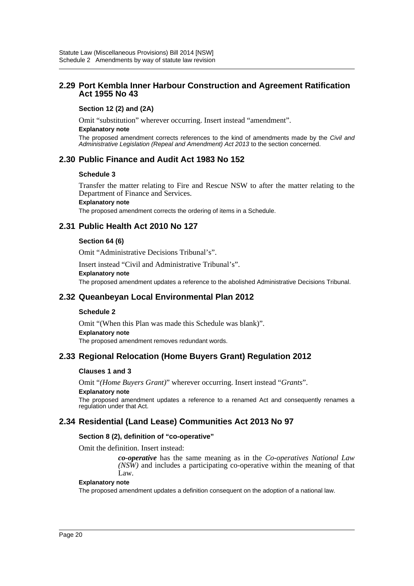### **2.29 Port Kembla Inner Harbour Construction and Agreement Ratification Act 1955 No 43**

### **Section 12 (2) and (2A)**

Omit "substitution" wherever occurring. Insert instead "amendment".

#### **Explanatory note**

The proposed amendment corrects references to the kind of amendments made by the *Civil and Administrative Legislation (Repeal and Amendment) Act 2013* to the section concerned.

## **2.30 Public Finance and Audit Act 1983 No 152**

#### **Schedule 3**

Transfer the matter relating to Fire and Rescue NSW to after the matter relating to the Department of Finance and Services.

#### **Explanatory note**

The proposed amendment corrects the ordering of items in a Schedule.

## **2.31 Public Health Act 2010 No 127**

#### **Section 64 (6)**

Omit "Administrative Decisions Tribunal's".

Insert instead "Civil and Administrative Tribunal's".

#### **Explanatory note**

The proposed amendment updates a reference to the abolished Administrative Decisions Tribunal.

### **2.32 Queanbeyan Local Environmental Plan 2012**

#### **Schedule 2**

Omit "(When this Plan was made this Schedule was blank)". **Explanatory note** The proposed amendment removes redundant words.

### **2.33 Regional Relocation (Home Buyers Grant) Regulation 2012**

### **Clauses 1 and 3**

Omit "*(Home Buyers Grant)*" wherever occurring. Insert instead "*Grants*".

#### **Explanatory note**

The proposed amendment updates a reference to a renamed Act and consequently renames a regulation under that Act.

# **2.34 Residential (Land Lease) Communities Act 2013 No 97**

### **Section 8 (2), definition of "co-operative"**

Omit the definition. Insert instead:

*co-operative* has the same meaning as in the *Co-operatives National Law (NSW)* and includes a participating co-operative within the meaning of that Law.

#### **Explanatory note**

The proposed amendment updates a definition consequent on the adoption of a national law.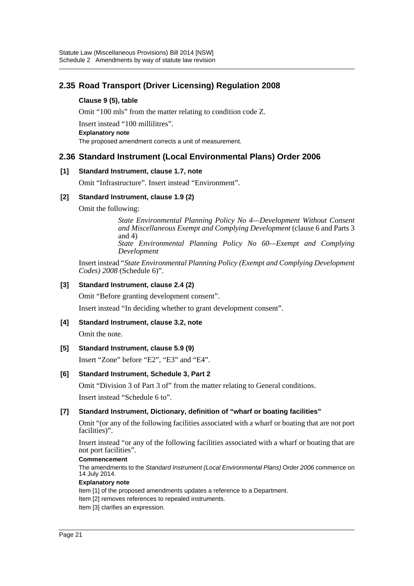# **2.35 Road Transport (Driver Licensing) Regulation 2008**

### **Clause 9 (5), table**

Omit "100 mls" from the matter relating to condition code Z.

Insert instead "100 millilitres". **Explanatory note** The proposed amendment corrects a unit of measurement.

# **2.36 Standard Instrument (Local Environmental Plans) Order 2006**

### **[1] Standard Instrument, clause 1.7, note**

Omit "Infrastructure". Insert instead "Environment".

### **[2] Standard Instrument, clause 1.9 (2)**

Omit the following:

*State Environmental Planning Policy No 4—Development Without Consent and Miscellaneous Exempt and Complying Development* (clause 6 and Parts 3 and 4) *State Environmental Planning Policy No 60—Exempt and Complying Development*

Insert instead "*State Environmental Planning Policy (Exempt and Complying Development Codes) 2008* (Schedule 6)".

### **[3] Standard Instrument, clause 2.4 (2)**

Omit "Before granting development consent".

Insert instead "In deciding whether to grant development consent".

### **[4] Standard Instrument, clause 3.2, note**

Omit the note.

### **[5] Standard Instrument, clause 5.9 (9)**

Insert "Zone" before "E2", "E3" and "E4".

### **[6] Standard Instrument, Schedule 3, Part 2**

Omit "Division 3 of Part 3 of" from the matter relating to General conditions. Insert instead "Schedule 6 to".

### **[7] Standard Instrument, Dictionary, definition of "wharf or boating facilities"**

Omit "(or any of the following facilities associated with a wharf or boating that are not port facilities)".

Insert instead "or any of the following facilities associated with a wharf or boating that are not port facilities".

### **Commencement**

The amendments to the *Standard Instrument (Local Environmental Plans) Order 2006* commence on 14 July 2014.

#### **Explanatory note**

Item [1] of the proposed amendments updates a reference to a Department.

- Item [2] removes references to repealed instruments.
- Item [3] clarifies an expression.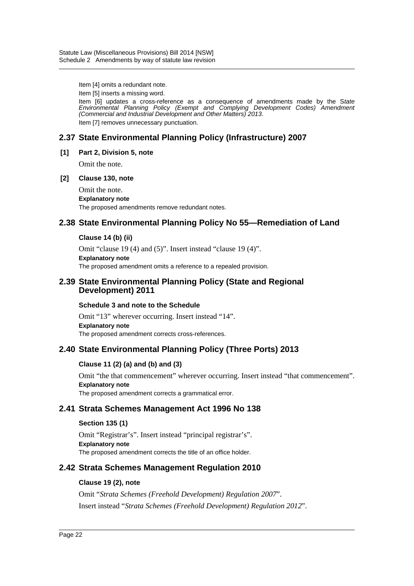Item [4] omits a redundant note.

Item [5] inserts a missing word.

Item [6] updates a cross-reference as a consequence of amendments made by the S*tate Environmental Planning Policy (Exempt and Complying Development Codes) Amendment (Commercial and Industrial Development and Other Matters) 2013*. Item [7] removes unnecessary punctuation.

# **2.37 State Environmental Planning Policy (Infrastructure) 2007**

### **[1] Part 2, Division 5, note**

Omit the note.

### **[2] Clause 130, note**

Omit the note. **Explanatory note** The proposed amendments remove redundant notes.

# **2.38 State Environmental Planning Policy No 55—Remediation of Land**

### **Clause 14 (b) (ii)**

Omit "clause 19 (4) and (5)". Insert instead "clause 19 (4)". **Explanatory note** The proposed amendment omits a reference to a repealed provision.

### **2.39 State Environmental Planning Policy (State and Regional Development) 2011**

### **Schedule 3 and note to the Schedule**

Omit "13" wherever occurring. Insert instead "14". **Explanatory note** The proposed amendment corrects cross-references.

# **2.40 State Environmental Planning Policy (Three Ports) 2013**

### **Clause 11 (2) (a) and (b) and (3)**

Omit "the that commencement" wherever occurring. Insert instead "that commencement". **Explanatory note** The proposed amendment corrects a grammatical error.

# **2.41 Strata Schemes Management Act 1996 No 138**

### **Section 135 (1)**

Omit "Registrar's". Insert instead "principal registrar's". **Explanatory note** The proposed amendment corrects the title of an office holder.

# **2.42 Strata Schemes Management Regulation 2010**

### **Clause 19 (2), note**

Omit "*Strata Schemes (Freehold Development) Regulation 2007*". Insert instead "*Strata Schemes (Freehold Development) Regulation 2012*".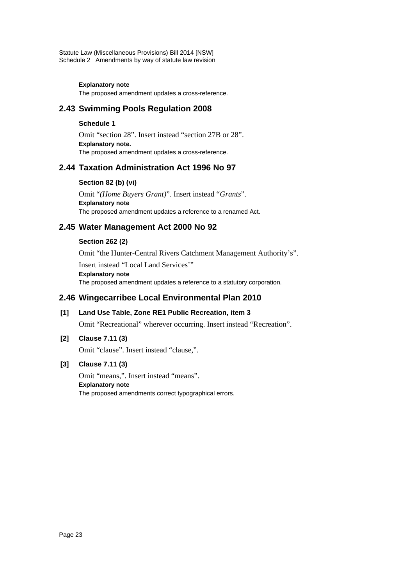#### **Explanatory note**

The proposed amendment updates a cross-reference.

# **2.43 Swimming Pools Regulation 2008**

### **Schedule 1**

Omit "section 28". Insert instead "section 27B or 28". **Explanatory note.** The proposed amendment updates a cross-reference.

# **2.44 Taxation Administration Act 1996 No 97**

### **Section 82 (b) (vi)**

Omit "*(Home Buyers Grant)*". Insert instead "*Grants*". **Explanatory note** The proposed amendment updates a reference to a renamed Act.

# **2.45 Water Management Act 2000 No 92**

### **Section 262 (2)**

Omit "the Hunter-Central Rivers Catchment Management Authority's".

Insert instead "Local Land Services'" **Explanatory note** The proposed amendment updates a reference to a statutory corporation.

# **2.46 Wingecarribee Local Environmental Plan 2010**

**[1] Land Use Table, Zone RE1 Public Recreation, item 3** Omit "Recreational" wherever occurring. Insert instead "Recreation".

# **[2] Clause 7.11 (3)**

Omit "clause". Insert instead "clause,".

### **[3] Clause 7.11 (3)**

Omit "means,". Insert instead "means". **Explanatory note** The proposed amendments correct typographical errors.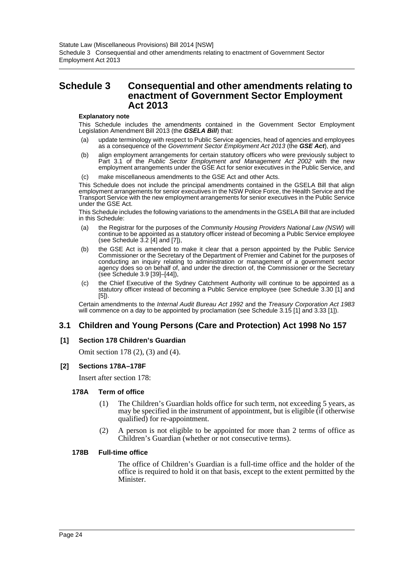# <span id="page-24-0"></span>**Schedule 3 Consequential and other amendments relating to enactment of Government Sector Employment Act 2013**

#### **Explanatory note**

This Schedule includes the amendments contained in the Government Sector Employment Legislation Amendment Bill 2013 (the *GSELA Bill*) that:

- (a) update terminology with respect to Public Service agencies, head of agencies and employees as a consequence of the *Government Sector Employment Act 2013* (the *GSE Act*), and
- (b) align employment arrangements for certain statutory officers who were previously subject to Part 3.1 of the *Public Sector Employment and Management Act 2002* with the new employment arrangements under the GSE Act for senior executives in the Public Service, and
- (c) make miscellaneous amendments to the GSE Act and other Acts.

This Schedule does not include the principal amendments contained in the GSELA Bill that align employment arrangements for senior executives in the NSW Police Force, the Health Service and the Transport Service with the new employment arrangements for senior executives in the Public Service under the GSE Act.

This Schedule includes the following variations to the amendments in the GSELA Bill that are included in this Schedule:

- (a) the Registrar for the purposes of the *Community Housing Providers National Law (NSW)* will continue to be appointed as a statutory officer instead of becoming a Public Service employee (see Schedule 3.2 [4] and [7]),
- (b) the GSE Act is amended to make it clear that a person appointed by the Public Service Commissioner or the Secretary of the Department of Premier and Cabinet for the purposes of conducting an inquiry relating to administration or management of a government sector agency does so on behalf of, and under the direction of, the Commissioner or the Secretary (see Schedule 3.9 [39]–[44]),
- (c) the Chief Executive of the Sydney Catchment Authority will continue to be appointed as a statutory officer instead of becoming a Public Service employee (see Schedule 3.30 [1] and [5]).

Certain amendments to the *Internal Audit Bureau Act 1992* and the *Treasury Corporation Act 1983* will commence on a day to be appointed by proclamation (see Schedule 3.15 [1] and 3.33 [1]).

# **3.1 Children and Young Persons (Care and Protection) Act 1998 No 157**

### **[1] Section 178 Children's Guardian**

Omit section 178 (2), (3) and (4).

### **[2] Sections 178A–178F**

Insert after section 178:

#### **178A Term of office**

- (1) The Children's Guardian holds office for such term, not exceeding 5 years, as may be specified in the instrument of appointment, but is eligible (if otherwise qualified) for re-appointment.
- (2) A person is not eligible to be appointed for more than 2 terms of office as Children's Guardian (whether or not consecutive terms).

#### **178B Full-time office**

The office of Children's Guardian is a full-time office and the holder of the office is required to hold it on that basis, except to the extent permitted by the Minister.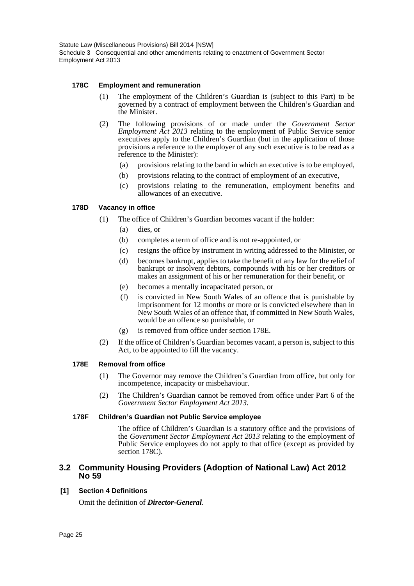### **178C Employment and remuneration**

- (1) The employment of the Children's Guardian is (subject to this Part) to be governed by a contract of employment between the Children's Guardian and the Minister.
- (2) The following provisions of or made under the *Government Sector Employment Act 2013* relating to the employment of Public Service senior executives apply to the Children's Guardian (but in the application of those provisions a reference to the employer of any such executive is to be read as a reference to the Minister):
	- (a) provisions relating to the band in which an executive is to be employed,
	- (b) provisions relating to the contract of employment of an executive,
	- (c) provisions relating to the remuneration, employment benefits and allowances of an executive.

### **178D Vacancy in office**

- (1) The office of Children's Guardian becomes vacant if the holder:
	- (a) dies, or
	- (b) completes a term of office and is not re-appointed, or
	- (c) resigns the office by instrument in writing addressed to the Minister, or
	- (d) becomes bankrupt, applies to take the benefit of any law for the relief of bankrupt or insolvent debtors, compounds with his or her creditors or makes an assignment of his or her remuneration for their benefit, or
	- (e) becomes a mentally incapacitated person, or
	- (f) is convicted in New South Wales of an offence that is punishable by imprisonment for 12 months or more or is convicted elsewhere than in New South Wales of an offence that, if committed in New South Wales, would be an offence so punishable, or
	- (g) is removed from office under section 178E.
- (2) If the office of Children's Guardian becomes vacant, a person is, subject to this Act, to be appointed to fill the vacancy.

### **178E Removal from office**

- (1) The Governor may remove the Children's Guardian from office, but only for incompetence, incapacity or misbehaviour.
- (2) The Children's Guardian cannot be removed from office under Part 6 of the *Government Sector Employment Act 2013*.

### **178F Children's Guardian not Public Service employee**

The office of Children's Guardian is a statutory office and the provisions of the *Government Sector Employment Act 2013* relating to the employment of Public Service employees do not apply to that office (except as provided by section 178C).

### **3.2 Community Housing Providers (Adoption of National Law) Act 2012 No 59**

### **[1] Section 4 Definitions**

Omit the definition of *Director-General*.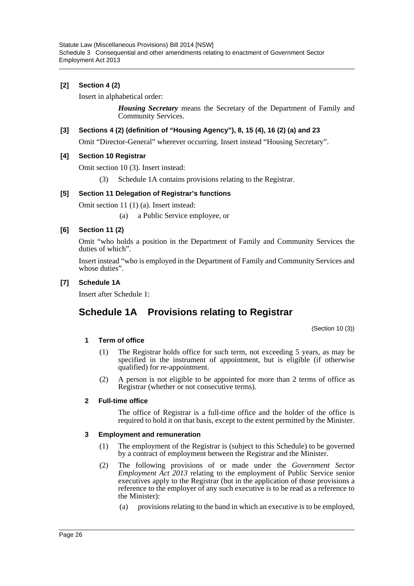### **[2] Section 4 (2)**

Insert in alphabetical order:

*Housing Secretary* means the Secretary of the Department of Family and Community Services.

### **[3] Sections 4 (2) (definition of "Housing Agency"), 8, 15 (4), 16 (2) (a) and 23**

Omit "Director-General" wherever occurring. Insert instead "Housing Secretary".

### **[4] Section 10 Registrar**

Omit section 10 (3). Insert instead:

(3) Schedule 1A contains provisions relating to the Registrar.

#### **[5] Section 11 Delegation of Registrar's functions**

Omit section 11 (1) (a). Insert instead:

(a) a Public Service employee, or

### **[6] Section 11 (2)**

Omit "who holds a position in the Department of Family and Community Services the duties of which".

Insert instead "who is employed in the Department of Family and Community Services and whose duties".

### **[7] Schedule 1A**

Insert after Schedule 1:

# **Schedule 1A Provisions relating to Registrar**

(Section 10 (3))

### **1 Term of office**

- (1) The Registrar holds office for such term, not exceeding 5 years, as may be specified in the instrument of appointment, but is eligible (if otherwise qualified) for re-appointment.
- (2) A person is not eligible to be appointed for more than 2 terms of office as Registrar (whether or not consecutive terms).

### **2 Full-time office**

The office of Registrar is a full-time office and the holder of the office is required to hold it on that basis, except to the extent permitted by the Minister.

#### **3 Employment and remuneration**

- (1) The employment of the Registrar is (subject to this Schedule) to be governed by a contract of employment between the Registrar and the Minister.
- (2) The following provisions of or made under the *Government Sector Employment Act 2013* relating to the employment of Public Service senior executives apply to the Registrar (but in the application of those provisions a reference to the employer of any such executive is to be read as a reference to the Minister):
	- (a) provisions relating to the band in which an executive is to be employed,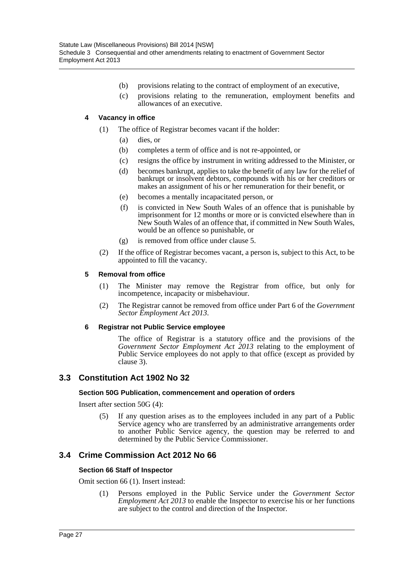- (b) provisions relating to the contract of employment of an executive,
- (c) provisions relating to the remuneration, employment benefits and allowances of an executive.

### **4 Vacancy in office**

- (1) The office of Registrar becomes vacant if the holder:
	- (a) dies, or
	- (b) completes a term of office and is not re-appointed, or
	- (c) resigns the office by instrument in writing addressed to the Minister, or
	- (d) becomes bankrupt, applies to take the benefit of any law for the relief of bankrupt or insolvent debtors, compounds with his or her creditors or makes an assignment of his or her remuneration for their benefit, or
	- (e) becomes a mentally incapacitated person, or
	- (f) is convicted in New South Wales of an offence that is punishable by imprisonment for 12 months or more or is convicted elsewhere than in New South Wales of an offence that, if committed in New South Wales, would be an offence so punishable, or
	- (g) is removed from office under clause 5.
- (2) If the office of Registrar becomes vacant, a person is, subject to this Act, to be appointed to fill the vacancy.

### **5 Removal from office**

- (1) The Minister may remove the Registrar from office, but only for incompetence, incapacity or misbehaviour.
- (2) The Registrar cannot be removed from office under Part 6 of the *Government Sector Employment Act 2013*.

### **6 Registrar not Public Service employee**

The office of Registrar is a statutory office and the provisions of the *Government Sector Employment Act 2013* relating to the employment of Public Service employees do not apply to that office (except as provided by clause 3).

### **3.3 Constitution Act 1902 No 32**

### **Section 50G Publication, commencement and operation of orders**

Insert after section 50G (4):

(5) If any question arises as to the employees included in any part of a Public Service agency who are transferred by an administrative arrangements order to another Public Service agency, the question may be referred to and determined by the Public Service Commissioner.

### **3.4 Crime Commission Act 2012 No 66**

### **Section 66 Staff of Inspector**

Omit section 66 (1). Insert instead:

(1) Persons employed in the Public Service under the *Government Sector Employment Act 2013* to enable the Inspector to exercise his or her functions are subject to the control and direction of the Inspector.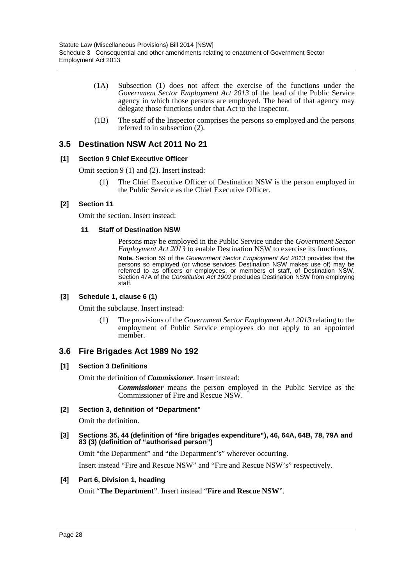- (1A) Subsection (1) does not affect the exercise of the functions under the *Government Sector Employment Act 2013* of the head of the Public Service agency in which those persons are employed. The head of that agency may delegate those functions under that Act to the Inspector.
- (1B) The staff of the Inspector comprises the persons so employed and the persons referred to in subsection (2).

## **3.5 Destination NSW Act 2011 No 21**

### **[1] Section 9 Chief Executive Officer**

Omit section 9 (1) and (2). Insert instead:

(1) The Chief Executive Officer of Destination NSW is the person employed in the Public Service as the Chief Executive Officer.

### **[2] Section 11**

Omit the section. Insert instead:

#### **11 Staff of Destination NSW**

Persons may be employed in the Public Service under the *Government Sector Employment Act 2013* to enable Destination NSW to exercise its functions. **Note.** Section 59 of the *Government Sector Employment Act 2013* provides that the persons so employed (or whose services Destination NSW makes use of) may be referred to as officers or employees, or members of staff, of Destination NSW. Section 47A of the *Constitution Act 1902* precludes Destination NSW from employing staff.

### **[3] Schedule 1, clause 6 (1)**

Omit the subclause. Insert instead:

(1) The provisions of the *Government Sector Employment Act 2013* relating to the employment of Public Service employees do not apply to an appointed member.

### **3.6 Fire Brigades Act 1989 No 192**

### **[1] Section 3 Definitions**

Omit the definition of *Commissioner*. Insert instead:

*Commissioner* means the person employed in the Public Service as the Commissioner of Fire and Rescue NSW.

### **[2] Section 3, definition of "Department"**

Omit the definition.

**[3] Sections 35, 44 (definition of "fire brigades expenditure"), 46, 64A, 64B, 78, 79A and 83 (3) (definition of "authorised person")**

Omit "the Department" and "the Department's" wherever occurring.

Insert instead "Fire and Rescue NSW" and "Fire and Rescue NSW's" respectively.

### **[4] Part 6, Division 1, heading**

Omit "**The Department**". Insert instead "**Fire and Rescue NSW**".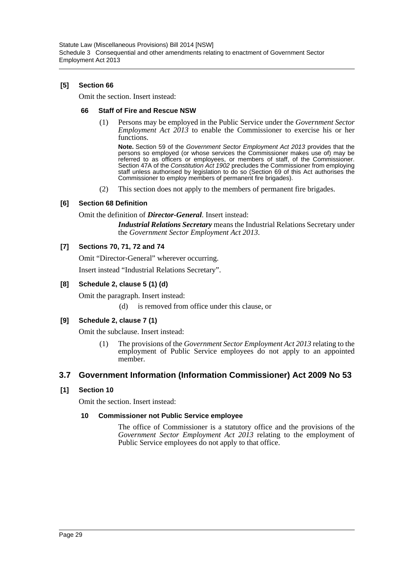### **[5] Section 66**

Omit the section. Insert instead:

### **66 Staff of Fire and Rescue NSW**

(1) Persons may be employed in the Public Service under the *Government Sector Employment Act 2013* to enable the Commissioner to exercise his or her functions.

**Note.** Section 59 of the *Government Sector Employment Act 2013* provides that the persons so employed (or whose services the Commissioner makes use of) may be referred to as officers or employees, or members of staff, of the Commissioner. Section 47A of the *Constitution Act 1902* precludes the Commissioner from employing staff unless authorised by legislation to do so (Section 69 of this Act authorises the Commissioner to employ members of permanent fire brigades).

(2) This section does not apply to the members of permanent fire brigades.

### **[6] Section 68 Definition**

Omit the definition of *Director-General*. Insert instead:

*Industrial Relations Secretary* means the Industrial Relations Secretary under the *Government Sector Employment Act 2013*.

### **[7] Sections 70, 71, 72 and 74**

Omit "Director-General" wherever occurring.

Insert instead "Industrial Relations Secretary".

### **[8] Schedule 2, clause 5 (1) (d)**

Omit the paragraph. Insert instead:

(d) is removed from office under this clause, or

### **[9] Schedule 2, clause 7 (1)**

Omit the subclause. Insert instead:

(1) The provisions of the *Government Sector Employment Act 2013* relating to the employment of Public Service employees do not apply to an appointed member.

### **3.7 Government Information (Information Commissioner) Act 2009 No 53**

### **[1] Section 10**

Omit the section. Insert instead:

### **10 Commissioner not Public Service employee**

The office of Commissioner is a statutory office and the provisions of the *Government Sector Employment Act 2013* relating to the employment of Public Service employees do not apply to that office.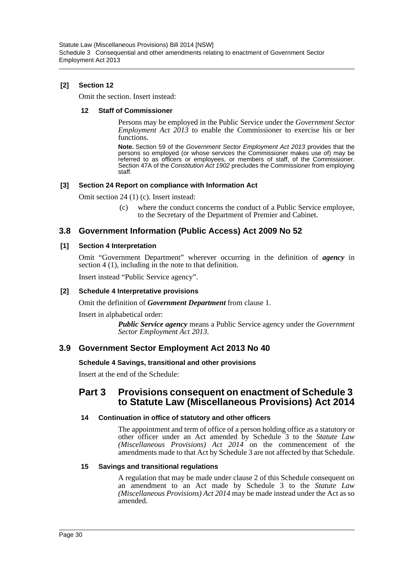### **[2] Section 12**

Omit the section. Insert instead:

#### **12 Staff of Commissioner**

Persons may be employed in the Public Service under the *Government Sector Employment Act 2013* to enable the Commissioner to exercise his or her functions.

**Note.** Section 59 of the *Government Sector Employment Act 2013* provides that the persons so employed (or whose services the Commissioner makes use of) may be referred to as officers or employees, or members of staff, of the Commissioner. Section 47A of the *Constitution Act 1902* precludes the Commissioner from employing staff.

### **[3] Section 24 Report on compliance with Information Act**

Omit section 24 (1) (c). Insert instead:

(c) where the conduct concerns the conduct of a Public Service employee, to the Secretary of the Department of Premier and Cabinet.

# **3.8 Government Information (Public Access) Act 2009 No 52**

### **[1] Section 4 Interpretation**

Omit "Government Department" wherever occurring in the definition of *agency* in section 4 (1), including in the note to that definition.

Insert instead "Public Service agency".

### **[2] Schedule 4 Interpretative provisions**

Omit the definition of *Government Department* from clause 1.

Insert in alphabetical order:

*Public Service agency* means a Public Service agency under the *Government Sector Employment Act 2013*.

# **3.9 Government Sector Employment Act 2013 No 40**

### **Schedule 4 Savings, transitional and other provisions**

Insert at the end of the Schedule:

# **Part 3 Provisions consequent on enactment of Schedule 3 to Statute Law (Miscellaneous Provisions) Act 2014**

### **14 Continuation in office of statutory and other officers**

The appointment and term of office of a person holding office as a statutory or other officer under an Act amended by Schedule 3 to the *Statute Law (Miscellaneous Provisions) Act 2014* on the commencement of the amendments made to that Act by Schedule 3 are not affected by that Schedule.

### **15 Savings and transitional regulations**

A regulation that may be made under clause 2 of this Schedule consequent on an amendment to an Act made by Schedule 3 to the *Statute Law (Miscellaneous Provisions) Act 2014* may be made instead under the Act as so amended.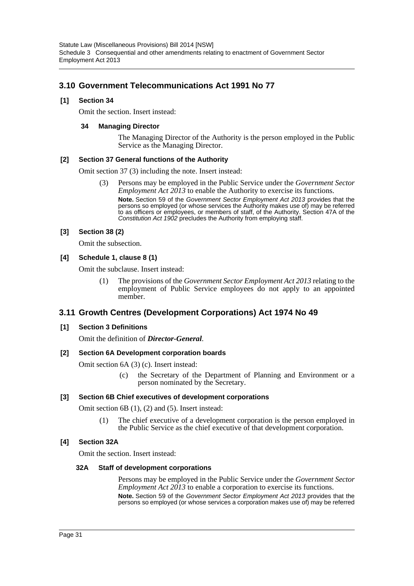# **3.10 Government Telecommunications Act 1991 No 77**

### **[1] Section 34**

Omit the section. Insert instead:

### **34 Managing Director**

The Managing Director of the Authority is the person employed in the Public Service as the Managing Director.

### **[2] Section 37 General functions of the Authority**

Omit section 37 (3) including the note. Insert instead:

(3) Persons may be employed in the Public Service under the *Government Sector Employment Act 2013* to enable the Authority to exercise its functions. **Note.** Section 59 of the *Government Sector Employment Act 2013* provides that the

persons so employed (or whose services the Authority makes use of) may be referred to as officers or employees, or members of staff, of the Authority. Section 47A of the *Constitution Act 1902* precludes the Authority from employing staff.

#### **[3] Section 38 (2)**

Omit the subsection.

**[4] Schedule 1, clause 8 (1)**

Omit the subclause. Insert instead:

(1) The provisions of the *Government Sector Employment Act 2013* relating to the employment of Public Service employees do not apply to an appointed member.

### **3.11 Growth Centres (Development Corporations) Act 1974 No 49**

### **[1] Section 3 Definitions**

Omit the definition of *Director-General*.

### **[2] Section 6A Development corporation boards**

Omit section 6A (3) (c). Insert instead:

(c) the Secretary of the Department of Planning and Environment or a person nominated by the Secretary.

### **[3] Section 6B Chief executives of development corporations**

Omit section 6B (1), (2) and (5). Insert instead:

(1) The chief executive of a development corporation is the person employed in the Public Service as the chief executive of that development corporation.

### **[4] Section 32A**

Omit the section. Insert instead:

### **32A Staff of development corporations**

Persons may be employed in the Public Service under the *Government Sector Employment Act 2013* to enable a corporation to exercise its functions. **Note.** Section 59 of the *Government Sector Employment Act 2013* provides that the persons so employed (or whose services a corporation makes use of) may be referred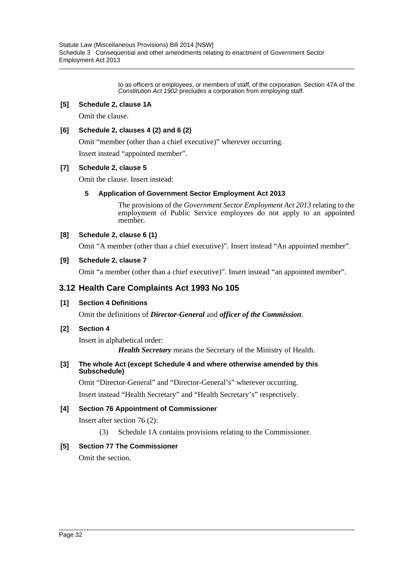to as officers or employees, or members of staff, of the corporation. Section 47A of the *Constitution Act 1902* precludes a corporation from employing staff.

### **[5] Schedule 2, clause 1A**

Omit the clause.

### **[6] Schedule 2, clauses 4 (2) and 6 (2)**

Omit "member (other than a chief executive)" wherever occurring.

Insert instead "appointed member".

### **[7] Schedule 2, clause 5**

Omit the clause. Insert instead:

### **5 Application of Government Sector Employment Act 2013**

The provisions of the *Government Sector Employment Act 2013* relating to the employment of Public Service employees do not apply to an appointed member.

### **[8] Schedule 2, clause 6 (1)**

Omit "A member (other than a chief executive)". Insert instead "An appointed member".

### **[9] Schedule 2, clause 7**

Omit "a member (other than a chief executive)". Insert instead "an appointed member".

## **3.12 Health Care Complaints Act 1993 No 105**

### **[1] Section 4 Definitions**

Omit the definitions of *Director-General* and *officer of the Commission*.

### **[2] Section 4**

Insert in alphabetical order: *Health Secretary* means the Secretary of the Ministry of Health.

### **[3] The whole Act (except Schedule 4 and where otherwise amended by this Subschedule)**

Omit "Director-General" and "Director-General's" wherever occurring.

Insert instead "Health Secretary" and "Health Secretary's" respectively.

### **[4] Section 76 Appointment of Commissioner**

Insert after section 76 (2):

(3) Schedule 1A contains provisions relating to the Commissioner.

### **[5] Section 77 The Commissioner**

Omit the section.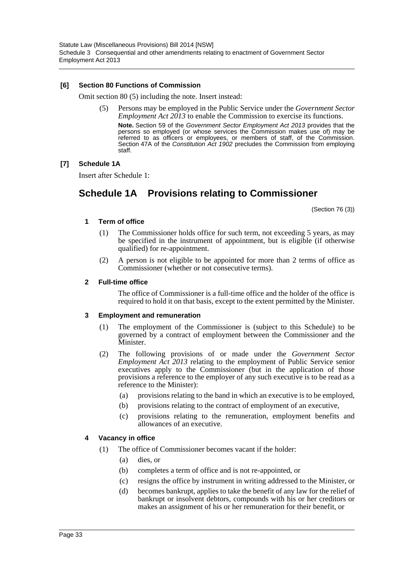### **[6] Section 80 Functions of Commission**

Omit section 80 (5) including the note. Insert instead:

(5) Persons may be employed in the Public Service under the *Government Sector Employment Act 2013* to enable the Commission to exercise its functions. **Note.** Section 59 of the *Government Sector Employment Act 2013* provides that the persons so employed (or whose services the Commission makes use of) may be referred to as officers or employees, or members of staff, of the Commission. Section 47A of the *Constitution Act 1902* precludes the Commission from employing staff.

### **[7] Schedule 1A**

Insert after Schedule 1:

# **Schedule 1A Provisions relating to Commissioner**

(Section 76 (3))

#### **1 Term of office**

- (1) The Commissioner holds office for such term, not exceeding 5 years, as may be specified in the instrument of appointment, but is eligible (if otherwise qualified) for re-appointment.
- (2) A person is not eligible to be appointed for more than 2 terms of office as Commissioner (whether or not consecutive terms).

#### **2 Full-time office**

The office of Commissioner is a full-time office and the holder of the office is required to hold it on that basis, except to the extent permitted by the Minister.

### **3 Employment and remuneration**

- (1) The employment of the Commissioner is (subject to this Schedule) to be governed by a contract of employment between the Commissioner and the Minister.
- (2) The following provisions of or made under the *Government Sector Employment Act 2013* relating to the employment of Public Service senior executives apply to the Commissioner (but in the application of those provisions a reference to the employer of any such executive is to be read as a reference to the Minister):
	- (a) provisions relating to the band in which an executive is to be employed,
	- (b) provisions relating to the contract of employment of an executive,
	- (c) provisions relating to the remuneration, employment benefits and allowances of an executive.

### **4 Vacancy in office**

- (1) The office of Commissioner becomes vacant if the holder:
	- (a) dies, or
	- (b) completes a term of office and is not re-appointed, or
	- (c) resigns the office by instrument in writing addressed to the Minister, or
	- (d) becomes bankrupt, applies to take the benefit of any law for the relief of bankrupt or insolvent debtors, compounds with his or her creditors or makes an assignment of his or her remuneration for their benefit, or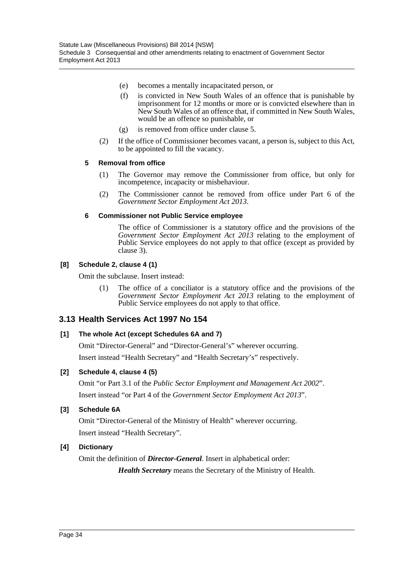- (e) becomes a mentally incapacitated person, or
- (f) is convicted in New South Wales of an offence that is punishable by imprisonment for 12 months or more or is convicted elsewhere than in New South Wales of an offence that, if committed in New South Wales, would be an offence so punishable, or
- (g) is removed from office under clause 5.
- (2) If the office of Commissioner becomes vacant, a person is, subject to this Act, to be appointed to fill the vacancy.

### **5 Removal from office**

- (1) The Governor may remove the Commissioner from office, but only for incompetence, incapacity or misbehaviour.
- (2) The Commissioner cannot be removed from office under Part 6 of the *Government Sector Employment Act 2013*.

### **6 Commissioner not Public Service employee**

The office of Commissioner is a statutory office and the provisions of the *Government Sector Employment Act 2013* relating to the employment of Public Service employees do not apply to that office (except as provided by clause 3).

### **[8] Schedule 2, clause 4 (1)**

Omit the subclause. Insert instead:

(1) The office of a conciliator is a statutory office and the provisions of the *Government Sector Employment Act 2013* relating to the employment of Public Service employees do not apply to that office.

### **3.13 Health Services Act 1997 No 154**

### **[1] The whole Act (except Schedules 6A and 7)**

Omit "Director-General" and "Director-General's" wherever occurring.

Insert instead "Health Secretary" and "Health Secretary's" respectively.

### **[2] Schedule 4, clause 4 (5)**

Omit "or Part 3.1 of the *Public Sector Employment and Management Act 2002*". Insert instead "or Part 4 of the *Government Sector Employment Act 2013*".

### **[3] Schedule 6A**

Omit "Director-General of the Ministry of Health" wherever occurring. Insert instead "Health Secretary".

### **[4] Dictionary**

Omit the definition of *Director-General*. Insert in alphabetical order:

*Health Secretary* means the Secretary of the Ministry of Health.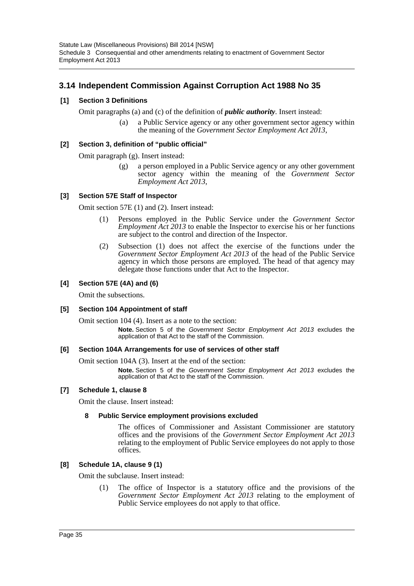# **3.14 Independent Commission Against Corruption Act 1988 No 35**

### **[1] Section 3 Definitions**

Omit paragraphs (a) and (c) of the definition of *public authority*. Insert instead:

(a) a Public Service agency or any other government sector agency within the meaning of the *Government Sector Employment Act 2013*,

#### **[2] Section 3, definition of "public official"**

Omit paragraph (g). Insert instead:

(g) a person employed in a Public Service agency or any other government sector agency within the meaning of the *Government Sector Employment Act 2013*,

### **[3] Section 57E Staff of Inspector**

Omit section 57E (1) and (2). Insert instead:

- (1) Persons employed in the Public Service under the *Government Sector Employment Act 2013* to enable the Inspector to exercise his or her functions are subject to the control and direction of the Inspector.
- (2) Subsection (1) does not affect the exercise of the functions under the *Government Sector Employment Act 2013* of the head of the Public Service agency in which those persons are employed. The head of that agency may delegate those functions under that Act to the Inspector.

#### **[4] Section 57E (4A) and (6)**

Omit the subsections.

#### **[5] Section 104 Appointment of staff**

Omit section 104 (4). Insert as a note to the section:

**Note.** Section 5 of the *Government Sector Employment Act 2013* excludes the application of that Act to the staff of the Commission.

#### **[6] Section 104A Arrangements for use of services of other staff**

Omit section 104A (3). Insert at the end of the section:

**Note.** Section 5 of the *Government Sector Employment Act 2013* excludes the application of that Act to the staff of the Commission.

#### **[7] Schedule 1, clause 8**

Omit the clause. Insert instead:

#### **8 Public Service employment provisions excluded**

The offices of Commissioner and Assistant Commissioner are statutory offices and the provisions of the *Government Sector Employment Act 2013* relating to the employment of Public Service employees do not apply to those offices.

#### **[8] Schedule 1A, clause 9 (1)**

Omit the subclause. Insert instead:

(1) The office of Inspector is a statutory office and the provisions of the *Government Sector Employment Act 2013* relating to the employment of Public Service employees do not apply to that office.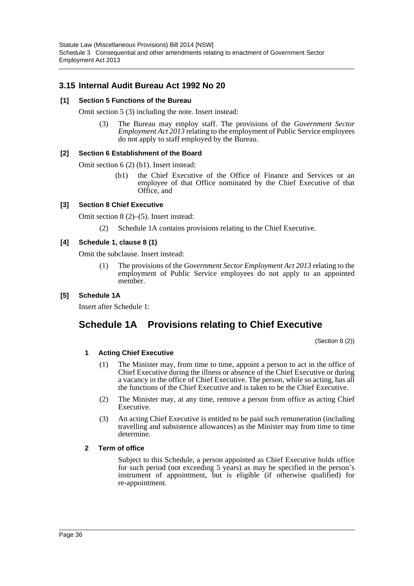# **3.15 Internal Audit Bureau Act 1992 No 20**

### **[1] Section 5 Functions of the Bureau**

Omit section 5 (3) including the note. Insert instead:

(3) The Bureau may employ staff. The provisions of the *Government Sector Employment Act 2013* relating to the employment of Public Service employees do not apply to staff employed by the Bureau.

### **[2] Section 6 Establishment of the Board**

Omit section 6 (2) (b1). Insert instead:

(b1) the Chief Executive of the Office of Finance and Services or an employee of that Office nominated by the Chief Executive of that Office, and

### **[3] Section 8 Chief Executive**

Omit section 8 (2)–(5). Insert instead:

(2) Schedule 1A contains provisions relating to the Chief Executive.

### **[4] Schedule 1, clause 8 (1)**

Omit the subclause. Insert instead:

(1) The provisions of the *Government Sector Employment Act 2013* relating to the employment of Public Service employees do not apply to an appointed member.

### **[5] Schedule 1A**

Insert after Schedule 1:

# **Schedule 1A Provisions relating to Chief Executive**

(Section 8 (2))

### **1 Acting Chief Executive**

- (1) The Minister may, from time to time, appoint a person to act in the office of Chief Executive during the illness or absence of the Chief Executive or during a vacancy in the office of Chief Executive. The person, while so acting, has all the functions of the Chief Executive and is taken to be the Chief Executive.
- (2) The Minister may, at any time, remove a person from office as acting Chief Executive.
- (3) An acting Chief Executive is entitled to be paid such remuneration (including travelling and subsistence allowances) as the Minister may from time to time determine.

### **2 Term of office**

Subject to this Schedule, a person appointed as Chief Executive holds office for such period (not exceeding 5 years) as may be specified in the person's instrument of appointment, but is eligible (if otherwise qualified) for re-appointment.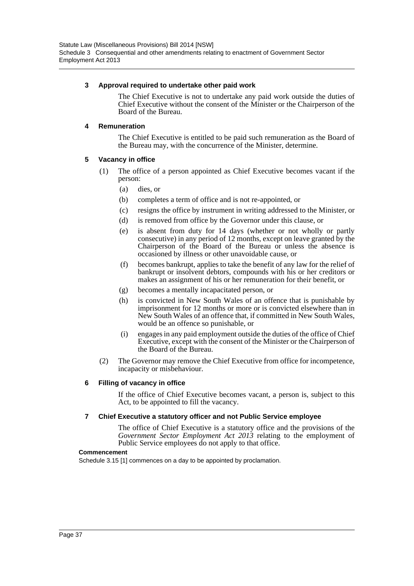### **3 Approval required to undertake other paid work**

The Chief Executive is not to undertake any paid work outside the duties of Chief Executive without the consent of the Minister or the Chairperson of the Board of the Bureau.

#### **4 Remuneration**

The Chief Executive is entitled to be paid such remuneration as the Board of the Bureau may, with the concurrence of the Minister, determine.

#### **5 Vacancy in office**

- (1) The office of a person appointed as Chief Executive becomes vacant if the person:
	- (a) dies, or
	- (b) completes a term of office and is not re-appointed, or
	- (c) resigns the office by instrument in writing addressed to the Minister, or
	- (d) is removed from office by the Governor under this clause, or
	- (e) is absent from duty for 14 days (whether or not wholly or partly consecutive) in any period of 12 months, except on leave granted by the Chairperson of the Board of the Bureau or unless the absence is occasioned by illness or other unavoidable cause, or
	- (f) becomes bankrupt, applies to take the benefit of any law for the relief of bankrupt or insolvent debtors, compounds with his or her creditors or makes an assignment of his or her remuneration for their benefit, or
	- (g) becomes a mentally incapacitated person, or
	- (h) is convicted in New South Wales of an offence that is punishable by imprisonment for 12 months or more or is convicted elsewhere than in New South Wales of an offence that, if committed in New South Wales, would be an offence so punishable, or
	- (i) engages in any paid employment outside the duties of the office of Chief Executive, except with the consent of the Minister or the Chairperson of the Board of the Bureau.
- (2) The Governor may remove the Chief Executive from office for incompetence, incapacity or misbehaviour.

### **6 Filling of vacancy in office**

If the office of Chief Executive becomes vacant, a person is, subject to this Act, to be appointed to fill the vacancy.

#### **7 Chief Executive a statutory officer and not Public Service employee**

The office of Chief Executive is a statutory office and the provisions of the *Government Sector Employment Act 2013* relating to the employment of Public Service employees do not apply to that office.

#### **Commencement**

Schedule 3.15 [1] commences on a day to be appointed by proclamation.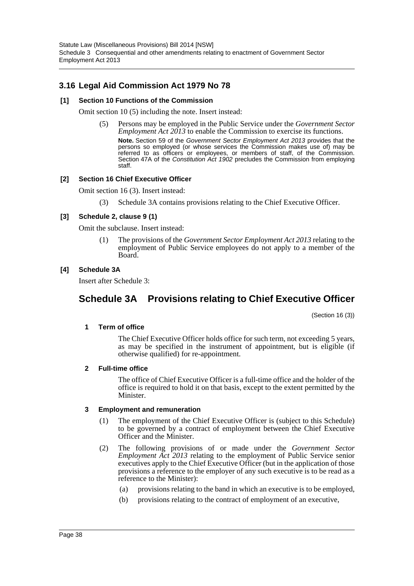# **3.16 Legal Aid Commission Act 1979 No 78**

### **[1] Section 10 Functions of the Commission**

Omit section 10 (5) including the note. Insert instead:

(5) Persons may be employed in the Public Service under the *Government Sector Employment Act 2013* to enable the Commission to exercise its functions. **Note.** Section 59 of the *Government Sector Employment Act 2013* provides that the persons so employed (or whose services the Commission makes use of) may be referred to as officers or employees, or members of staff, of the Commission. Section 47A of the *Constitution Act 1902* precludes the Commission from employing staff.

#### **[2] Section 16 Chief Executive Officer**

Omit section 16 (3). Insert instead:

(3) Schedule 3A contains provisions relating to the Chief Executive Officer.

#### **[3] Schedule 2, clause 9 (1)**

Omit the subclause. Insert instead:

(1) The provisions of the *Government Sector Employment Act 2013* relating to the employment of Public Service employees do not apply to a member of the Board.

#### **[4] Schedule 3A**

Insert after Schedule 3:

# **Schedule 3A Provisions relating to Chief Executive Officer**

(Section 16 (3))

#### **1 Term of office**

The Chief Executive Officer holds office for such term, not exceeding 5 years, as may be specified in the instrument of appointment, but is eligible (if otherwise qualified) for re-appointment.

#### **2 Full-time office**

The office of Chief Executive Officer is a full-time office and the holder of the office is required to hold it on that basis, except to the extent permitted by the Minister.

#### **3 Employment and remuneration**

- (1) The employment of the Chief Executive Officer is (subject to this Schedule) to be governed by a contract of employment between the Chief Executive Officer and the Minister.
- (2) The following provisions of or made under the *Government Sector Employment Act 2013* relating to the employment of Public Service senior executives apply to the Chief Executive Officer (but in the application of those provisions a reference to the employer of any such executive is to be read as a reference to the Minister):
	- (a) provisions relating to the band in which an executive is to be employed,
	- (b) provisions relating to the contract of employment of an executive,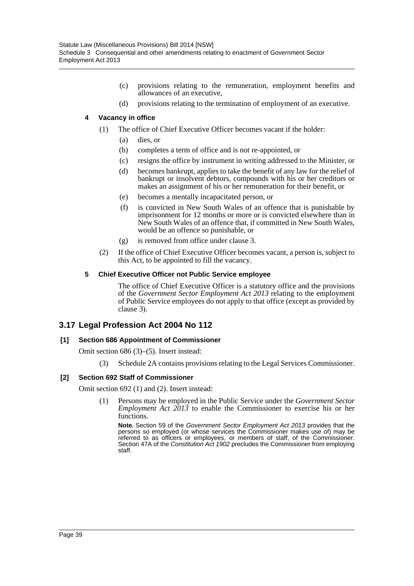- (c) provisions relating to the remuneration, employment benefits and allowances of an executive,
- (d) provisions relating to the termination of employment of an executive.

### **4 Vacancy in office**

- (1) The office of Chief Executive Officer becomes vacant if the holder:
	- (a) dies, or
	- (b) completes a term of office and is not re-appointed, or
	- (c) resigns the office by instrument in writing addressed to the Minister, or
	- (d) becomes bankrupt, applies to take the benefit of any law for the relief of bankrupt or insolvent debtors, compounds with his or her creditors or makes an assignment of his or her remuneration for their benefit, or
	- (e) becomes a mentally incapacitated person, or
	- (f) is convicted in New South Wales of an offence that is punishable by imprisonment for 12 months or more or is convicted elsewhere than in New South Wales of an offence that, if committed in New South Wales, would be an offence so punishable, or
	- (g) is removed from office under clause 3.
- (2) If the office of Chief Executive Officer becomes vacant, a person is, subject to this Act, to be appointed to fill the vacancy.

### **5 Chief Executive Officer not Public Service employee**

The office of Chief Executive Officer is a statutory office and the provisions of the *Government Sector Employment Act 2013* relating to the employment of Public Service employees do not apply to that office (except as provided by clause 3).

# **3.17 Legal Profession Act 2004 No 112**

### **[1] Section 686 Appointment of Commissioner**

Omit section 686 (3)–(5). Insert instead:

(3) Schedule 2A contains provisions relating to the Legal Services Commissioner.

### **[2] Section 692 Staff of Commissioner**

Omit section 692 (1) and (2). Insert instead:

(1) Persons may be employed in the Public Service under the *Government Sector Employment Act 2013* to enable the Commissioner to exercise his or her functions.

**Note.** Section 59 of the *Government Sector Employment Act 2013* provides that the persons so employed (or whose services the Commissioner makes use of) may be referred to as officers or employees, or members of staff, of the Commissioner. Section 47A of the *Constitution Act 1902* precludes the Commissioner from employing staff.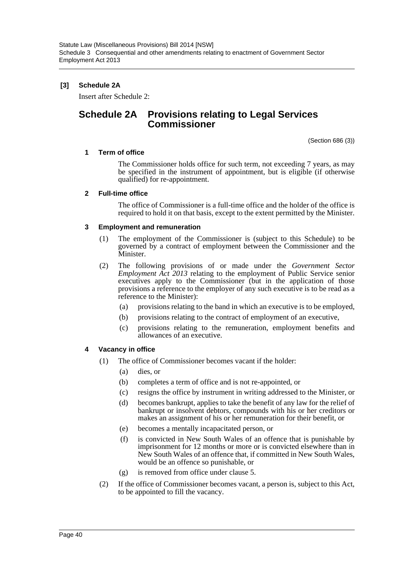### **[3] Schedule 2A**

Insert after Schedule 2:

# **Schedule 2A Provisions relating to Legal Services Commissioner**

(Section 686 (3))

### **1 Term of office**

The Commissioner holds office for such term, not exceeding 7 years, as may be specified in the instrument of appointment, but is eligible (if otherwise qualified) for re-appointment.

### **2 Full-time office**

The office of Commissioner is a full-time office and the holder of the office is required to hold it on that basis, except to the extent permitted by the Minister.

### **3 Employment and remuneration**

- (1) The employment of the Commissioner is (subject to this Schedule) to be governed by a contract of employment between the Commissioner and the Minister.
- (2) The following provisions of or made under the *Government Sector Employment Act 2013* relating to the employment of Public Service senior executives apply to the Commissioner (but in the application of those provisions a reference to the employer of any such executive is to be read as a reference to the Minister):
	- (a) provisions relating to the band in which an executive is to be employed,
	- (b) provisions relating to the contract of employment of an executive,
	- (c) provisions relating to the remuneration, employment benefits and allowances of an executive.

### **4 Vacancy in office**

- (1) The office of Commissioner becomes vacant if the holder:
	- (a) dies, or
	- (b) completes a term of office and is not re-appointed, or
	- (c) resigns the office by instrument in writing addressed to the Minister, or
	- (d) becomes bankrupt, applies to take the benefit of any law for the relief of bankrupt or insolvent debtors, compounds with his or her creditors or makes an assignment of his or her remuneration for their benefit, or
	- (e) becomes a mentally incapacitated person, or
	- (f) is convicted in New South Wales of an offence that is punishable by imprisonment for 12 months or more or is convicted elsewhere than in New South Wales of an offence that, if committed in New South Wales, would be an offence so punishable, or
	- (g) is removed from office under clause 5.
- (2) If the office of Commissioner becomes vacant, a person is, subject to this Act, to be appointed to fill the vacancy.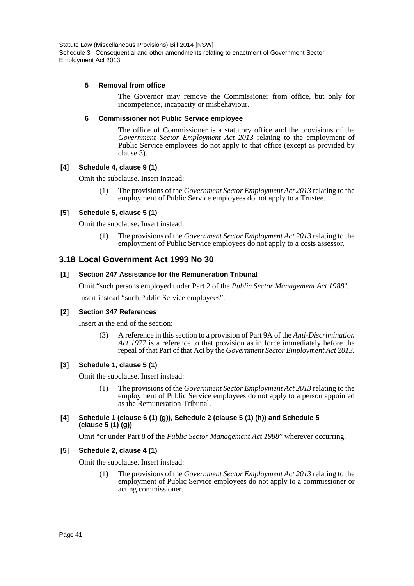### **5 Removal from office**

The Governor may remove the Commissioner from office, but only for incompetence, incapacity or misbehaviour.

### **6 Commissioner not Public Service employee**

The office of Commissioner is a statutory office and the provisions of the *Government Sector Employment Act 2013* relating to the employment of Public Service employees do not apply to that office (except as provided by clause 3).

### **[4] Schedule 4, clause 9 (1)**

Omit the subclause. Insert instead:

(1) The provisions of the *Government Sector Employment Act 2013* relating to the employment of Public Service employees do not apply to a Trustee.

### **[5] Schedule 5, clause 5 (1)**

Omit the subclause. Insert instead:

(1) The provisions of the *Government Sector Employment Act 2013* relating to the employment of Public Service employees do not apply to a costs assessor.

## **3.18 Local Government Act 1993 No 30**

### **[1] Section 247 Assistance for the Remuneration Tribunal**

Omit "such persons employed under Part 2 of the *Public Sector Management Act 1988*". Insert instead "such Public Service employees".

### **[2] Section 347 References**

Insert at the end of the section:

(3) A reference in this section to a provision of Part 9A of the *Anti-Discrimination Act 1977* is a reference to that provision as in force immediately before the repeal of that Part of that Act by the *Government Sector Employment Act 2013.*

### **[3] Schedule 1, clause 5 (1)**

Omit the subclause. Insert instead:

(1) The provisions of the *Government Sector Employment Act 2013* relating to the employment of Public Service employees do not apply to a person appointed as the Remuneration Tribunal.

### **[4] Schedule 1 (clause 6 (1) (g)), Schedule 2 (clause 5 (1) (h)) and Schedule 5 (clause 5 (1) (g))**

Omit "or under Part 8 of the *Public Sector Management Act 1988*" wherever occurring.

### **[5] Schedule 2, clause 4 (1)**

Omit the subclause. Insert instead:

(1) The provisions of the *Government Sector Employment Act 2013* relating to the employment of Public Service employees do not apply to a commissioner or acting commissioner.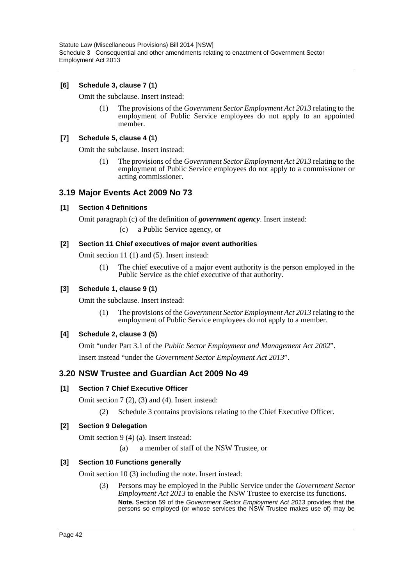### **[6] Schedule 3, clause 7 (1)**

Omit the subclause. Insert instead:

(1) The provisions of the *Government Sector Employment Act 2013* relating to the employment of Public Service employees do not apply to an appointed member.

### **[7] Schedule 5, clause 4 (1)**

Omit the subclause. Insert instead:

(1) The provisions of the *Government Sector Employment Act 2013* relating to the employment of Public Service employees do not apply to a commissioner or acting commissioner.

### **3.19 Major Events Act 2009 No 73**

### **[1] Section 4 Definitions**

Omit paragraph (c) of the definition of *government agency*. Insert instead:

(c) a Public Service agency, or

### **[2] Section 11 Chief executives of major event authorities**

Omit section 11 (1) and (5). Insert instead:

(1) The chief executive of a major event authority is the person employed in the Public Service as the chief executive of that authority.

### **[3] Schedule 1, clause 9 (1)**

Omit the subclause. Insert instead:

(1) The provisions of the *Government Sector Employment Act 2013* relating to the employment of Public Service employees do not apply to a member.

### **[4] Schedule 2, clause 3 (5)**

Omit "under Part 3.1 of the *Public Sector Employment and Management Act 2002*". Insert instead "under the *Government Sector Employment Act 2013*".

# **3.20 NSW Trustee and Guardian Act 2009 No 49**

### **[1] Section 7 Chief Executive Officer**

Omit section 7 (2), (3) and (4). Insert instead:

(2) Schedule 3 contains provisions relating to the Chief Executive Officer.

### **[2] Section 9 Delegation**

Omit section 9 (4) (a). Insert instead:

(a) a member of staff of the NSW Trustee, or

### **[3] Section 10 Functions generally**

Omit section 10 (3) including the note. Insert instead:

(3) Persons may be employed in the Public Service under the *Government Sector Employment Act 2013* to enable the NSW Trustee to exercise its functions. **Note.** Section 59 of the *Government Sector Employment Act 2013* provides that the persons so employed (or whose services the NSW Trustee makes use of) may be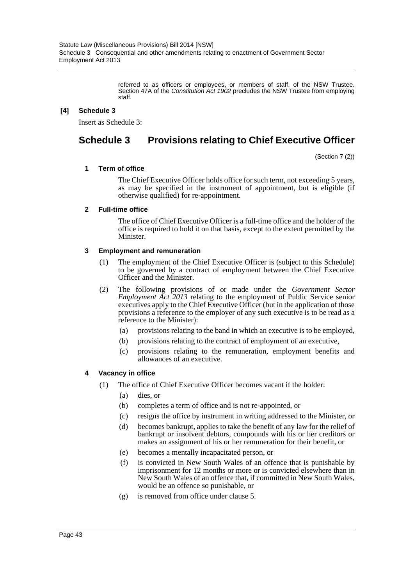referred to as officers or employees, or members of staff, of the NSW Trustee. Section 47A of the *Constitution Act 1902* precludes the NSW Trustee from employing staff.

### **[4] Schedule 3**

Insert as Schedule 3:

# **Schedule 3 Provisions relating to Chief Executive Officer**

(Section 7 (2))

### **1 Term of office**

The Chief Executive Officer holds office for such term, not exceeding 5 years, as may be specified in the instrument of appointment, but is eligible (if otherwise qualified) for re-appointment.

### **2 Full-time office**

The office of Chief Executive Officer is a full-time office and the holder of the office is required to hold it on that basis, except to the extent permitted by the Minister.

### **3 Employment and remuneration**

- (1) The employment of the Chief Executive Officer is (subject to this Schedule) to be governed by a contract of employment between the Chief Executive Officer and the Minister.
- (2) The following provisions of or made under the *Government Sector Employment Act 2013* relating to the employment of Public Service senior executives apply to the Chief Executive Officer (but in the application of those provisions a reference to the employer of any such executive is to be read as a reference to the Minister):
	- (a) provisions relating to the band in which an executive is to be employed,
	- (b) provisions relating to the contract of employment of an executive,
	- (c) provisions relating to the remuneration, employment benefits and allowances of an executive.

### **4 Vacancy in office**

- (1) The office of Chief Executive Officer becomes vacant if the holder:
	- (a) dies, or
	- (b) completes a term of office and is not re-appointed, or
	- (c) resigns the office by instrument in writing addressed to the Minister, or
	- (d) becomes bankrupt, applies to take the benefit of any law for the relief of bankrupt or insolvent debtors, compounds with his or her creditors or makes an assignment of his or her remuneration for their benefit, or
	- (e) becomes a mentally incapacitated person, or
	- (f) is convicted in New South Wales of an offence that is punishable by imprisonment for 12 months or more or is convicted elsewhere than in New South Wales of an offence that, if committed in New South Wales, would be an offence so punishable, or
	- (g) is removed from office under clause 5.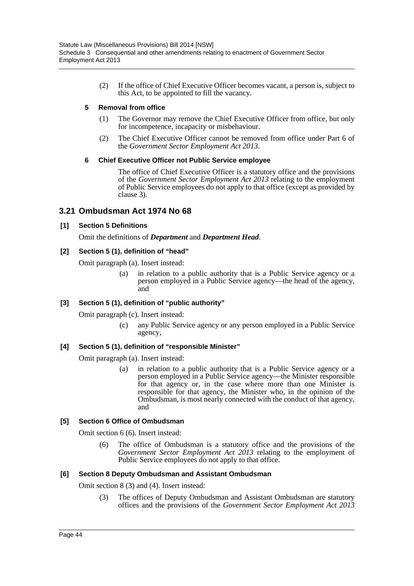(2) If the office of Chief Executive Officer becomes vacant, a person is, subject to this Act, to be appointed to fill the vacancy.

### **5 Removal from office**

- (1) The Governor may remove the Chief Executive Officer from office, but only for incompetence, incapacity or misbehaviour.
- (2) The Chief Executive Officer cannot be removed from office under Part 6 of the *Government Sector Employment Act 2013*.

### **6 Chief Executive Officer not Public Service employee**

The office of Chief Executive Officer is a statutory office and the provisions of the *Government Sector Employment Act 2013* relating to the employment of Public Service employees do not apply to that office (except as provided by clause 3).

## **3.21 Ombudsman Act 1974 No 68**

### **[1] Section 5 Definitions**

Omit the definitions of *Department* and *Department Head*.

### **[2] Section 5 (1), definition of "head"**

Omit paragraph (a). Insert instead:

(a) in relation to a public authority that is a Public Service agency or a person employed in a Public Service agency—the head of the agency, and

### **[3] Section 5 (1), definition of "public authority"**

Omit paragraph (c). Insert instead:

(c) any Public Service agency or any person employed in a Public Service agency,

### **[4] Section 5 (1), definition of "responsible Minister"**

Omit paragraph (a). Insert instead:

(a) in relation to a public authority that is a Public Service agency or a person employed in a Public Service agency—the Minister responsible for that agency or, in the case where more than one Minister is responsible for that agency, the Minister who, in the opinion of the Ombudsman, is most nearly connected with the conduct of that agency, and

### **[5] Section 6 Office of Ombudsman**

Omit section 6 (6). Insert instead:

(6) The office of Ombudsman is a statutory office and the provisions of the *Government Sector Employment Act 2013* relating to the employment of Public Service employees do not apply to that office.

### **[6] Section 8 Deputy Ombudsman and Assistant Ombudsman**

Omit section 8 (3) and (4). Insert instead:

(3) The offices of Deputy Ombudsman and Assistant Ombudsman are statutory offices and the provisions of the *Government Sector Employment Act 2013*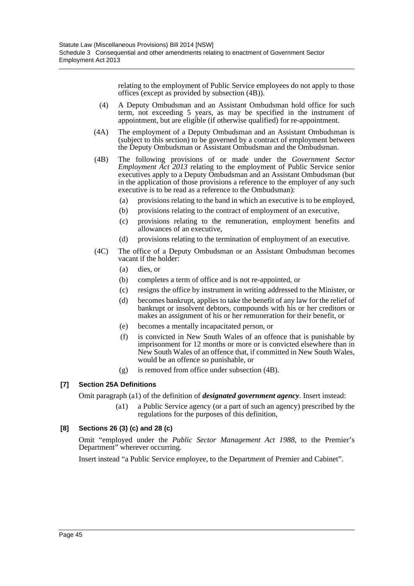relating to the employment of Public Service employees do not apply to those offices (except as provided by subsection (4B)).

- (4) A Deputy Ombudsman and an Assistant Ombudsman hold office for such term, not exceeding 5 years, as may be specified in the instrument of appointment, but are eligible (if otherwise qualified) for re-appointment.
- (4A) The employment of a Deputy Ombudsman and an Assistant Ombudsman is (subject to this section) to be governed by a contract of employment between the Deputy Ombudsman or Assistant Ombudsman and the Ombudsman.
- (4B) The following provisions of or made under the *Government Sector Employment Act 2013* relating to the employment of Public Service senior executives apply to a Deputy Ombudsman and an Assistant Ombudsman (but in the application of those provisions a reference to the employer of any such executive is to be read as a reference to the Ombudsman):
	- (a) provisions relating to the band in which an executive is to be employed,
	- (b) provisions relating to the contract of employment of an executive,
	- (c) provisions relating to the remuneration, employment benefits and allowances of an executive,
	- (d) provisions relating to the termination of employment of an executive.
- (4C) The office of a Deputy Ombudsman or an Assistant Ombudsman becomes vacant if the holder:
	- (a) dies, or
	- (b) completes a term of office and is not re-appointed, or
	- (c) resigns the office by instrument in writing addressed to the Minister, or
	- (d) becomes bankrupt, applies to take the benefit of any law for the relief of bankrupt or insolvent debtors, compounds with his or her creditors or makes an assignment of his or her remuneration for their benefit, or
	- (e) becomes a mentally incapacitated person, or
	- (f) is convicted in New South Wales of an offence that is punishable by imprisonment for 12 months or more or is convicted elsewhere than in New South Wales of an offence that, if committed in New South Wales, would be an offence so punishable, or
	- (g) is removed from office under subsection (4B).

### **[7] Section 25A Definitions**

Omit paragraph (a1) of the definition of *designated government agency*. Insert instead:

(a1) a Public Service agency (or a part of such an agency) prescribed by the regulations for the purposes of this definition,

### **[8] Sections 26 (3) (c) and 28 (c)**

Omit "employed under the *Public Sector Management Act 1988*, to the Premier's Department" wherever occurring.

Insert instead "a Public Service employee, to the Department of Premier and Cabinet".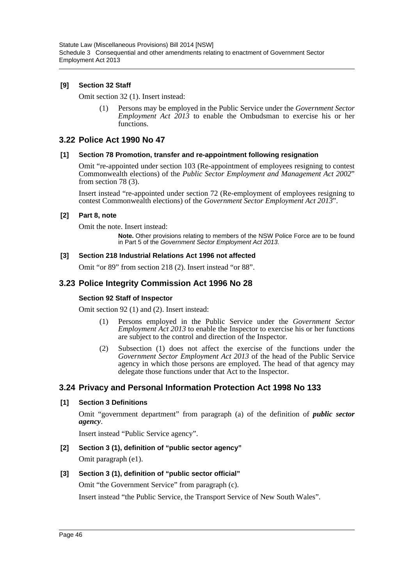### **[9] Section 32 Staff**

Omit section 32 (1). Insert instead:

(1) Persons may be employed in the Public Service under the *Government Sector Employment Act 2013* to enable the Ombudsman to exercise his or her functions.

### **3.22 Police Act 1990 No 47**

### **[1] Section 78 Promotion, transfer and re-appointment following resignation**

Omit "re-appointed under section 103 (Re-appointment of employees resigning to contest Commonwealth elections) of the *Public Sector Employment and Management Act 2002*" from section 78 (3).

Insert instead "re-appointed under section 72 (Re-employment of employees resigning to contest Commonwealth elections) of the *Government Sector Employment Act 2013*".

#### **[2] Part 8, note**

Omit the note. Insert instead:

**Note.** Other provisions relating to members of the NSW Police Force are to be found in Part 5 of the *Government Sector Employment Act 2013*.

### **[3] Section 218 Industrial Relations Act 1996 not affected**

Omit "or 89" from section 218 (2). Insert instead "or 88".

### **3.23 Police Integrity Commission Act 1996 No 28**

### **Section 92 Staff of Inspector**

Omit section 92 (1) and (2). Insert instead:

- (1) Persons employed in the Public Service under the *Government Sector Employment Act 2013* to enable the Inspector to exercise his or her functions are subject to the control and direction of the Inspector.
- (2) Subsection (1) does not affect the exercise of the functions under the *Government Sector Employment Act 2013* of the head of the Public Service agency in which those persons are employed. The head of that agency may delegate those functions under that Act to the Inspector.

### **3.24 Privacy and Personal Information Protection Act 1998 No 133**

### **[1] Section 3 Definitions**

Omit "government department" from paragraph (a) of the definition of *public sector agency*.

Insert instead "Public Service agency".

## **[2] Section 3 (1), definition of "public sector agency"** Omit paragraph (e1).

### **[3] Section 3 (1), definition of "public sector official"**

Omit "the Government Service" from paragraph (c).

Insert instead "the Public Service, the Transport Service of New South Wales".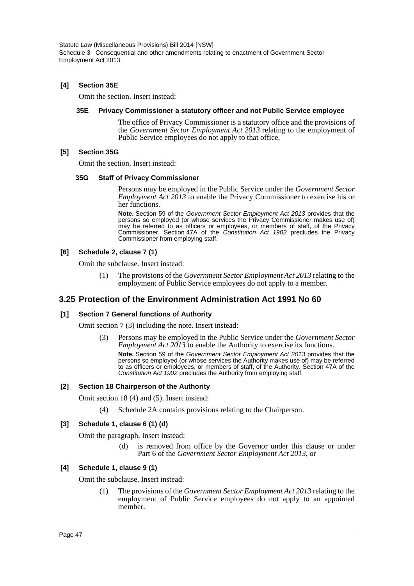### **[4] Section 35E**

Omit the section. Insert instead:

#### **35E Privacy Commissioner a statutory officer and not Public Service employee**

The office of Privacy Commissioner is a statutory office and the provisions of the *Government Sector Employment Act 2013* relating to the employment of Public Service employees do not apply to that office.

### **[5] Section 35G**

Omit the section. Insert instead:

#### **35G Staff of Privacy Commissioner**

Persons may be employed in the Public Service under the *Government Sector Employment Act 2013* to enable the Privacy Commissioner to exercise his or her functions.

**Note.** Section 59 of the *Government Sector Employment Act 2013* provides that the persons so employed (or whose services the Privacy Commissioner makes use of) may be referred to as officers or employees, or members of staff, of the Privacy Commissioner. Section 47A of the *Constitution Act 1902* precludes the Privacy Commissioner from employing staff.

### **[6] Schedule 2, clause 7 (1)**

Omit the subclause. Insert instead:

(1) The provisions of the *Government Sector Employment Act 2013* relating to the employment of Public Service employees do not apply to a member.

# **3.25 Protection of the Environment Administration Act 1991 No 60**

### **[1] Section 7 General functions of Authority**

Omit section 7 (3) including the note. Insert instead:

(3) Persons may be employed in the Public Service under the *Government Sector Employment Act 2013* to enable the Authority to exercise its functions.

**Note.** Section 59 of the *Government Sector Employment Act 2013* provides that the persons so employed (or whose services the Authority makes use of) may be referred to as officers or employees, or members of staff, of the Authority. Section 47A of the *Constitution Act 1902* precludes the Authority from employing staff.

### **[2] Section 18 Chairperson of the Authority**

Omit section 18 (4) and (5). Insert instead:

(4) Schedule 2A contains provisions relating to the Chairperson.

### **[3] Schedule 1, clause 6 (1) (d)**

Omit the paragraph. Insert instead:

(d) is removed from office by the Governor under this clause or under Part 6 of the *Government Sector Employment Act 2013*, or

### **[4] Schedule 1, clause 9 (1)**

Omit the subclause. Insert instead:

(1) The provisions of the *Government Sector Employment Act 2013* relating to the employment of Public Service employees do not apply to an appointed member.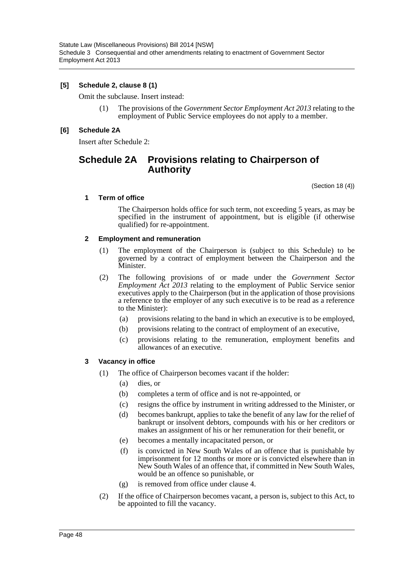### **[5] Schedule 2, clause 8 (1)**

Omit the subclause. Insert instead:

(1) The provisions of the *Government Sector Employment Act 2013* relating to the employment of Public Service employees do not apply to a member.

### **[6] Schedule 2A**

Insert after Schedule 2:

# **Schedule 2A Provisions relating to Chairperson of Authority**

(Section 18 (4))

### **1 Term of office**

The Chairperson holds office for such term, not exceeding 5 years, as may be specified in the instrument of appointment, but is eligible (if otherwise qualified) for re-appointment.

### **2 Employment and remuneration**

- (1) The employment of the Chairperson is (subject to this Schedule) to be governed by a contract of employment between the Chairperson and the Minister.
- (2) The following provisions of or made under the *Government Sector Employment Act 2013* relating to the employment of Public Service senior executives apply to the Chairperson (but in the application of those provisions a reference to the employer of any such executive is to be read as a reference to the Minister):
	- (a) provisions relating to the band in which an executive is to be employed,
	- (b) provisions relating to the contract of employment of an executive,
	- (c) provisions relating to the remuneration, employment benefits and allowances of an executive.

### **3 Vacancy in office**

- (1) The office of Chairperson becomes vacant if the holder:
	- (a) dies, or
	- (b) completes a term of office and is not re-appointed, or
	- (c) resigns the office by instrument in writing addressed to the Minister, or
	- (d) becomes bankrupt, applies to take the benefit of any law for the relief of bankrupt or insolvent debtors, compounds with his or her creditors or makes an assignment of his or her remuneration for their benefit, or
	- (e) becomes a mentally incapacitated person, or
	- (f) is convicted in New South Wales of an offence that is punishable by imprisonment for 12 months or more or is convicted elsewhere than in New South Wales of an offence that, if committed in New South Wales, would be an offence so punishable, or
	- (g) is removed from office under clause 4.
- (2) If the office of Chairperson becomes vacant, a person is, subject to this Act, to be appointed to fill the vacancy.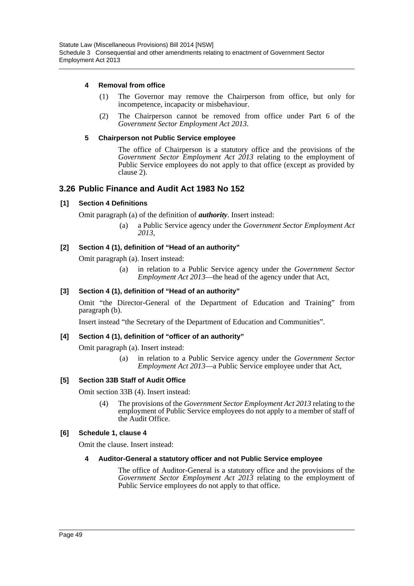### **4 Removal from office**

- (1) The Governor may remove the Chairperson from office, but only for incompetence, incapacity or misbehaviour.
- (2) The Chairperson cannot be removed from office under Part 6 of the *Government Sector Employment Act 2013*.

### **5 Chairperson not Public Service employee**

The office of Chairperson is a statutory office and the provisions of the *Government Sector Employment Act 2013* relating to the employment of Public Service employees do not apply to that office (except as provided by clause 2).

### **3.26 Public Finance and Audit Act 1983 No 152**

#### **[1] Section 4 Definitions**

Omit paragraph (a) of the definition of *authority*. Insert instead:

(a) a Public Service agency under the *Government Sector Employment Act 2013*,

### **[2] Section 4 (1), definition of "Head of an authority"**

Omit paragraph (a). Insert instead:

(a) in relation to a Public Service agency under the *Government Sector Employment Act 2013*—the head of the agency under that Act,

#### **[3] Section 4 (1), definition of "Head of an authority"**

Omit "the Director-General of the Department of Education and Training" from paragraph (b).

Insert instead "the Secretary of the Department of Education and Communities".

#### **[4] Section 4 (1), definition of "officer of an authority"**

Omit paragraph (a). Insert instead:

(a) in relation to a Public Service agency under the *Government Sector Employment Act 2013*—a Public Service employee under that Act,

### **[5] Section 33B Staff of Audit Office**

Omit section 33B (4). Insert instead:

(4) The provisions of the *Government Sector Employment Act 2013* relating to the employment of Public Service employees do not apply to a member of staff of the Audit Office.

#### **[6] Schedule 1, clause 4**

Omit the clause. Insert instead:

#### **4 Auditor-General a statutory officer and not Public Service employee**

The office of Auditor-General is a statutory office and the provisions of the *Government Sector Employment Act 2013* relating to the employment of Public Service employees do not apply to that office.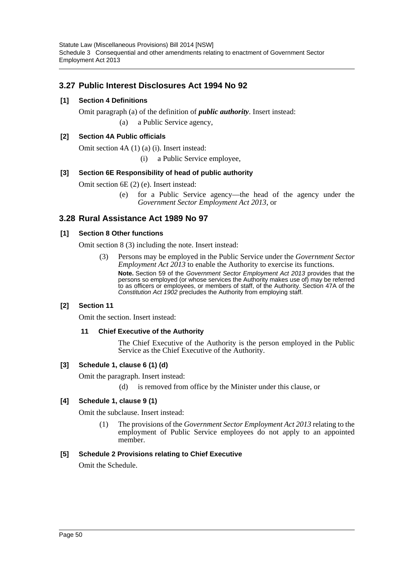# **3.27 Public Interest Disclosures Act 1994 No 92**

### **[1] Section 4 Definitions**

Omit paragraph (a) of the definition of *public authority*. Insert instead: (a) a Public Service agency,

### **[2] Section 4A Public officials**

Omit section 4A (1) (a) (i). Insert instead:

(i) a Public Service employee,

### **[3] Section 6E Responsibility of head of public authority**

Omit section 6E (2) (e). Insert instead:

(e) for a Public Service agency—the head of the agency under the *Government Sector Employment Act 2013*, or

# **3.28 Rural Assistance Act 1989 No 97**

### **[1] Section 8 Other functions**

Omit section 8 (3) including the note. Insert instead:

(3) Persons may be employed in the Public Service under the *Government Sector Employment Act 2013* to enable the Authority to exercise its functions. **Note.** Section 59 of the *Government Sector Employment Act 2013* provides that the persons so employed (or whose services the Authority makes use of) may be referred to as officers or employees, or members of staff, of the Authority. Section 47A of the *Constitution Act 1902* precludes the Authority from employing staff.

### **[2] Section 11**

Omit the section. Insert instead:

### **11 Chief Executive of the Authority**

The Chief Executive of the Authority is the person employed in the Public Service as the Chief Executive of the Authority.

### **[3] Schedule 1, clause 6 (1) (d)**

Omit the paragraph. Insert instead:

(d) is removed from office by the Minister under this clause, or

### **[4] Schedule 1, clause 9 (1)**

Omit the subclause. Insert instead:

(1) The provisions of the *Government Sector Employment Act 2013* relating to the employment of Public Service employees do not apply to an appointed member.

### **[5] Schedule 2 Provisions relating to Chief Executive**

Omit the Schedule.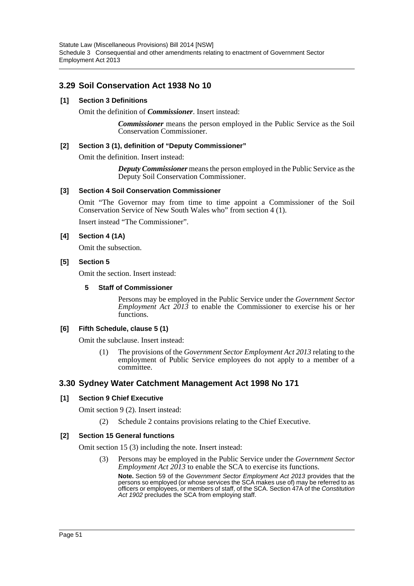# **3.29 Soil Conservation Act 1938 No 10**

### **[1] Section 3 Definitions**

Omit the definition of *Commissioner*. Insert instead:

*Commissioner* means the person employed in the Public Service as the Soil Conservation Commissioner.

### **[2] Section 3 (1), definition of "Deputy Commissioner"**

Omit the definition. Insert instead:

*Deputy Commissioner* means the person employed in the Public Service as the Deputy Soil Conservation Commissioner.

### **[3] Section 4 Soil Conservation Commissioner**

Omit "The Governor may from time to time appoint a Commissioner of the Soil Conservation Service of New South Wales who" from section 4 (1).

Insert instead "The Commissioner".

### **[4] Section 4 (1A)**

Omit the subsection.

#### **[5] Section 5**

Omit the section. Insert instead:

#### **5 Staff of Commissioner**

Persons may be employed in the Public Service under the *Government Sector Employment Act 2013* to enable the Commissioner to exercise his or her functions.

### **[6] Fifth Schedule, clause 5 (1)**

Omit the subclause. Insert instead:

(1) The provisions of the *Government Sector Employment Act 2013* relating to the employment of Public Service employees do not apply to a member of a committee.

### **3.30 Sydney Water Catchment Management Act 1998 No 171**

### **[1] Section 9 Chief Executive**

Omit section 9 (2). Insert instead:

(2) Schedule 2 contains provisions relating to the Chief Executive.

### **[2] Section 15 General functions**

Omit section 15 (3) including the note. Insert instead:

(3) Persons may be employed in the Public Service under the *Government Sector Employment Act 2013* to enable the SCA to exercise its functions. **Note.** Section 59 of the *Government Sector Employment Act 2013* provides that the persons so employed (or whose services the SCA makes use of) may be referred to as officers or employees, or members of staff, of the SCA. Section 47A of the *Constitution Act 1902* precludes the SCA from employing staff.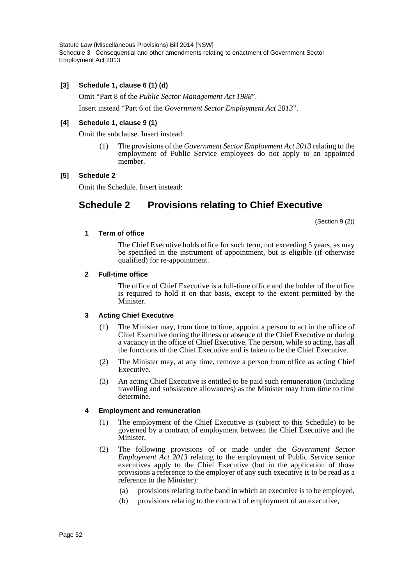### **[3] Schedule 1, clause 6 (1) (d)**

Omit "Part 8 of the *Public Sector Management Act 1988*".

Insert instead "Part 6 of the *Government Sector Employment Act 2013*".

#### **[4] Schedule 1, clause 9 (1)**

Omit the subclause. Insert instead:

(1) The provisions of the *Government Sector Employment Act 2013* relating to the employment of Public Service employees do not apply to an appointed member.

### **[5] Schedule 2**

Omit the Schedule. Insert instead:

# **Schedule 2 Provisions relating to Chief Executive**

(Section 9 (2))

#### **1 Term of office**

The Chief Executive holds office for such term, not exceeding 5 years, as may be specified in the instrument of appointment, but is eligible (if otherwise qualified) for re-appointment.

#### **2 Full-time office**

The office of Chief Executive is a full-time office and the holder of the office is required to hold it on that basis, except to the extent permitted by the Minister.

### **3 Acting Chief Executive**

- (1) The Minister may, from time to time, appoint a person to act in the office of Chief Executive during the illness or absence of the Chief Executive or during a vacancy in the office of Chief Executive. The person, while so acting, has all the functions of the Chief Executive and is taken to be the Chief Executive.
- (2) The Minister may, at any time, remove a person from office as acting Chief Executive.
- (3) An acting Chief Executive is entitled to be paid such remuneration (including travelling and subsistence allowances) as the Minister may from time to time determine.

### **4 Employment and remuneration**

- (1) The employment of the Chief Executive is (subject to this Schedule) to be governed by a contract of employment between the Chief Executive and the Minister.
- (2) The following provisions of or made under the *Government Sector Employment Act 2013* relating to the employment of Public Service senior executives apply to the Chief Executive (but in the application of those provisions a reference to the employer of any such executive is to be read as a reference to the Minister):
	- (a) provisions relating to the band in which an executive is to be employed,
	- (b) provisions relating to the contract of employment of an executive,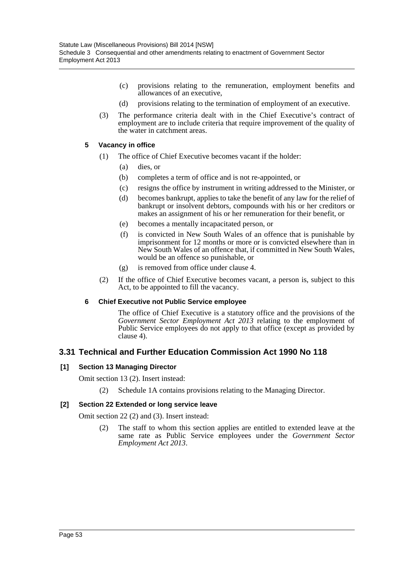- (c) provisions relating to the remuneration, employment benefits and allowances of an executive,
- (d) provisions relating to the termination of employment of an executive.
- (3) The performance criteria dealt with in the Chief Executive's contract of employment are to include criteria that require improvement of the quality of the water in catchment areas.

### **5 Vacancy in office**

- (1) The office of Chief Executive becomes vacant if the holder:
	- (a) dies, or
	- (b) completes a term of office and is not re-appointed, or
	- (c) resigns the office by instrument in writing addressed to the Minister, or
	- (d) becomes bankrupt, applies to take the benefit of any law for the relief of bankrupt or insolvent debtors, compounds with his or her creditors or makes an assignment of his or her remuneration for their benefit, or
	- (e) becomes a mentally incapacitated person, or
	- (f) is convicted in New South Wales of an offence that is punishable by imprisonment for 12 months or more or is convicted elsewhere than in New South Wales of an offence that, if committed in New South Wales, would be an offence so punishable, or
	- (g) is removed from office under clause 4.
- (2) If the office of Chief Executive becomes vacant, a person is, subject to this Act, to be appointed to fill the vacancy.

### **6 Chief Executive not Public Service employee**

The office of Chief Executive is a statutory office and the provisions of the *Government Sector Employment Act 2013* relating to the employment of Public Service employees do not apply to that office (except as provided by clause 4).

### **3.31 Technical and Further Education Commission Act 1990 No 118**

### **[1] Section 13 Managing Director**

Omit section 13 (2). Insert instead:

(2) Schedule 1A contains provisions relating to the Managing Director.

### **[2] Section 22 Extended or long service leave**

Omit section 22 (2) and (3). Insert instead:

(2) The staff to whom this section applies are entitled to extended leave at the same rate as Public Service employees under the *Government Sector Employment Act 2013*.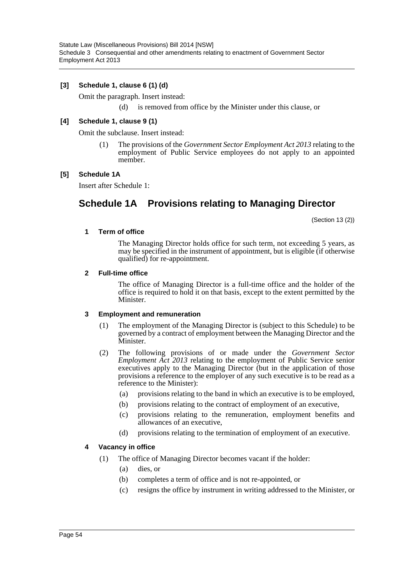### **[3] Schedule 1, clause 6 (1) (d)**

Omit the paragraph. Insert instead:

(d) is removed from office by the Minister under this clause, or

### **[4] Schedule 1, clause 9 (1)**

Omit the subclause. Insert instead:

(1) The provisions of the *Government Sector Employment Act 2013* relating to the employment of Public Service employees do not apply to an appointed member.

### **[5] Schedule 1A**

Insert after Schedule 1:

# **Schedule 1A Provisions relating to Managing Director**

(Section 13 (2))

#### **1 Term of office**

The Managing Director holds office for such term, not exceeding 5 years, as may be specified in the instrument of appointment, but is eligible (if otherwise qualified) for re-appointment.

#### **2 Full-time office**

The office of Managing Director is a full-time office and the holder of the office is required to hold it on that basis, except to the extent permitted by the Minister.

### **3 Employment and remuneration**

- (1) The employment of the Managing Director is (subject to this Schedule) to be governed by a contract of employment between the Managing Director and the Minister.
- (2) The following provisions of or made under the *Government Sector Employment Act 2013* relating to the employment of Public Service senior executives apply to the Managing Director (but in the application of those provisions a reference to the employer of any such executive is to be read as a reference to the Minister):
	- (a) provisions relating to the band in which an executive is to be employed,
	- (b) provisions relating to the contract of employment of an executive,
	- (c) provisions relating to the remuneration, employment benefits and allowances of an executive,
	- (d) provisions relating to the termination of employment of an executive.

### **4 Vacancy in office**

- (1) The office of Managing Director becomes vacant if the holder:
	- (a) dies, or
	- (b) completes a term of office and is not re-appointed, or
	- (c) resigns the office by instrument in writing addressed to the Minister, or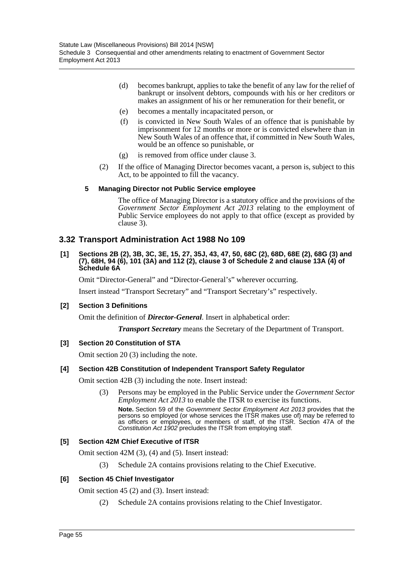- (d) becomes bankrupt, applies to take the benefit of any law for the relief of bankrupt or insolvent debtors, compounds with his or her creditors or makes an assignment of his or her remuneration for their benefit, or
- (e) becomes a mentally incapacitated person, or
- (f) is convicted in New South Wales of an offence that is punishable by imprisonment for 12 months or more or is convicted elsewhere than in New South Wales of an offence that, if committed in New South Wales, would be an offence so punishable, or
- (g) is removed from office under clause 3.
- (2) If the office of Managing Director becomes vacant, a person is, subject to this Act, to be appointed to fill the vacancy.

### **5 Managing Director not Public Service employee**

The office of Managing Director is a statutory office and the provisions of the *Government Sector Employment Act 2013* relating to the employment of Public Service employees do not apply to that office (except as provided by clause 3).

## **3.32 Transport Administration Act 1988 No 109**

#### **[1] Sections 2B (2), 3B, 3C, 3E, 15, 27, 35J, 43, 47, 50, 68C (2), 68D, 68E (2), 68G (3) and (7), 68H, 94 (6), 101 (3A) and 112 (2), clause 3 of Schedule 2 and clause 13A (4) of Schedule 6A**

Omit "Director-General" and "Director-General's" wherever occurring.

Insert instead "Transport Secretary" and "Transport Secretary's" respectively.

### **[2] Section 3 Definitions**

Omit the definition of *Director-General*. Insert in alphabetical order:

*Transport Secretary* means the Secretary of the Department of Transport.

### **[3] Section 20 Constitution of STA**

Omit section 20 (3) including the note.

### **[4] Section 42B Constitution of Independent Transport Safety Regulator**

Omit section 42B (3) including the note. Insert instead:

(3) Persons may be employed in the Public Service under the *Government Sector Employment Act 2013* to enable the ITSR to exercise its functions. **Note.** Section 59 of the *Government Sector Employment Act 2013* provides that the persons so employed (or whose services the ITSR makes use of) may be referred to as officers or employees, or members of staff, of the ITSR. Section 47A of the *Constitution Act 1902* precludes the ITSR from employing staff.

### **[5] Section 42M Chief Executive of ITSR**

Omit section 42M (3), (4) and (5). Insert instead:

(3) Schedule 2A contains provisions relating to the Chief Executive.

### **[6] Section 45 Chief Investigator**

Omit section 45 (2) and (3). Insert instead:

(2) Schedule 2A contains provisions relating to the Chief Investigator.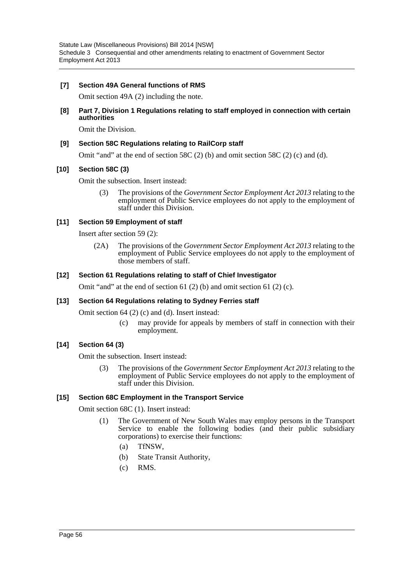### **[7] Section 49A General functions of RMS**

Omit section 49A (2) including the note.

**[8] Part 7, Division 1 Regulations relating to staff employed in connection with certain authorities**

Omit the Division.

### **[9] Section 58C Regulations relating to RailCorp staff**

Omit "and" at the end of section 58C (2) (b) and omit section 58C (2) (c) and (d).

### **[10] Section 58C (3)**

Omit the subsection. Insert instead:

(3) The provisions of the *Government Sector Employment Act 2013* relating to the employment of Public Service employees do not apply to the employment of staff under this Division.

### **[11] Section 59 Employment of staff**

Insert after section 59 (2):

(2A) The provisions of the *Government Sector Employment Act 2013* relating to the employment of Public Service employees do not apply to the employment of those members of staff.

### **[12] Section 61 Regulations relating to staff of Chief Investigator**

Omit "and" at the end of section 61 (2) (b) and omit section 61 (2) (c).

### **[13] Section 64 Regulations relating to Sydney Ferries staff**

Omit section 64 (2) (c) and (d). Insert instead:

(c) may provide for appeals by members of staff in connection with their employment.

### **[14] Section 64 (3)**

Omit the subsection. Insert instead:

(3) The provisions of the *Government Sector Employment Act 2013* relating to the employment of Public Service employees do not apply to the employment of staff under this Division.

### **[15] Section 68C Employment in the Transport Service**

Omit section 68C (1). Insert instead:

- (1) The Government of New South Wales may employ persons in the Transport Service to enable the following bodies (and their public subsidiary corporations) to exercise their functions:
	- (a) TfNSW,
	- (b) State Transit Authority,
	- (c) RMS.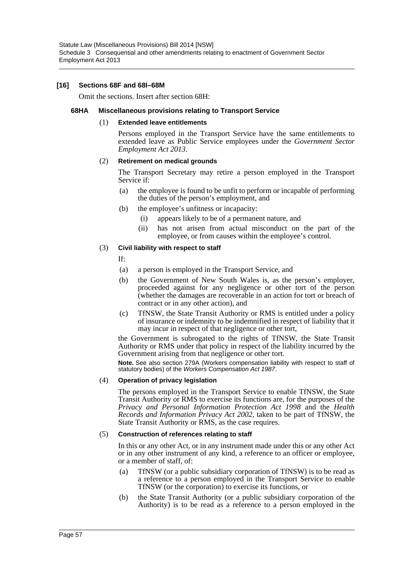#### **[16] Sections 68F and 68I–68M**

Omit the sections. Insert after section 68H:

#### **68HA Miscellaneous provisions relating to Transport Service**

#### (1) **Extended leave entitlements**

Persons employed in the Transport Service have the same entitlements to extended leave as Public Service employees under the *Government Sector Employment Act 2013*.

#### (2) **Retirement on medical grounds**

The Transport Secretary may retire a person employed in the Transport Service if:

- (a) the employee is found to be unfit to perform or incapable of performing the duties of the person's employment, and
- (b) the employee's unfitness or incapacity:
	- (i) appears likely to be of a permanent nature, and
	- (ii) has not arisen from actual misconduct on the part of the employee, or from causes within the employee's control.

#### (3) **Civil liability with respect to staff**

If:

- (a) a person is employed in the Transport Service, and
- (b) the Government of New South Wales is, as the person's employer, proceeded against for any negligence or other tort of the person (whether the damages are recoverable in an action for tort or breach of contract or in any other action), and
- (c) TfNSW, the State Transit Authority or RMS is entitled under a policy of insurance or indemnity to be indemnified in respect of liability that it may incur in respect of that negligence or other tort,

the Government is subrogated to the rights of TfNSW, the State Transit Authority or RMS under that policy in respect of the liability incurred by the Government arising from that negligence or other tort.

**Note.** See also section 279A (Workers compensation liability with respect to staff of statutory bodies) of the *Workers Compensation Act 1987*.

#### (4) **Operation of privacy legislation**

The persons employed in the Transport Service to enable TfNSW, the State Transit Authority or RMS to exercise its functions are, for the purposes of the *Privacy and Personal Information Protection Act 1998* and the *Health Records and Information Privacy Act 2002*, taken to be part of TfNSW, the State Transit Authority or RMS, as the case requires.

#### (5) **Construction of references relating to staff**

In this or any other Act, or in any instrument made under this or any other Act or in any other instrument of any kind, a reference to an officer or employee, or a member of staff, of:

- (a) TfNSW (or a public subsidiary corporation of TfNSW) is to be read as a reference to a person employed in the Transport Service to enable TfNSW (or the corporation) to exercise its functions, or
- (b) the State Transit Authority (or a public subsidiary corporation of the Authority) is to be read as a reference to a person employed in the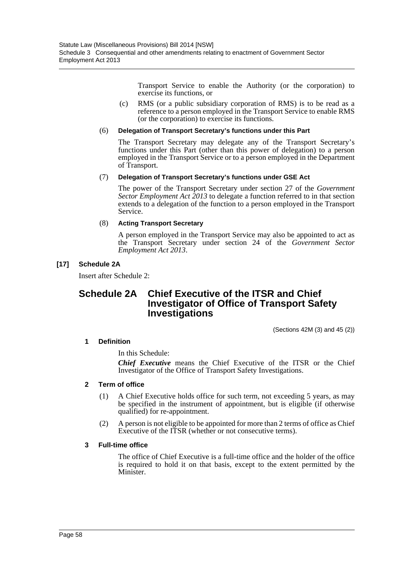Transport Service to enable the Authority (or the corporation) to exercise its functions, or

(c) RMS (or a public subsidiary corporation of RMS) is to be read as a reference to a person employed in the Transport Service to enable RMS (or the corporation) to exercise its functions.

#### (6) **Delegation of Transport Secretary's functions under this Part**

The Transport Secretary may delegate any of the Transport Secretary's functions under this Part (other than this power of delegation) to a person employed in the Transport Service or to a person employed in the Department of Transport.

#### (7) **Delegation of Transport Secretary's functions under GSE Act**

The power of the Transport Secretary under section 27 of the *Government Sector Employment Act 2013* to delegate a function referred to in that section extends to a delegation of the function to a person employed in the Transport Service.

#### (8) **Acting Transport Secretary**

A person employed in the Transport Service may also be appointed to act as the Transport Secretary under section 24 of the *Government Sector Employment Act 2013*.

### **[17] Schedule 2A**

Insert after Schedule 2:

# **Schedule 2A Chief Executive of the ITSR and Chief Investigator of Office of Transport Safety Investigations**

(Sections 42M (3) and 45 (2))

### **1 Definition**

In this Schedule:

*Chief Executive* means the Chief Executive of the ITSR or the Chief Investigator of the Office of Transport Safety Investigations.

### **2 Term of office**

- (1) A Chief Executive holds office for such term, not exceeding 5 years, as may be specified in the instrument of appointment, but is eligible (if otherwise qualified) for re-appointment.
- (2) A person is not eligible to be appointed for more than 2 terms of office as Chief Executive of the ITSR (whether or not consecutive terms).

### **3 Full-time office**

The office of Chief Executive is a full-time office and the holder of the office is required to hold it on that basis, except to the extent permitted by the Minister.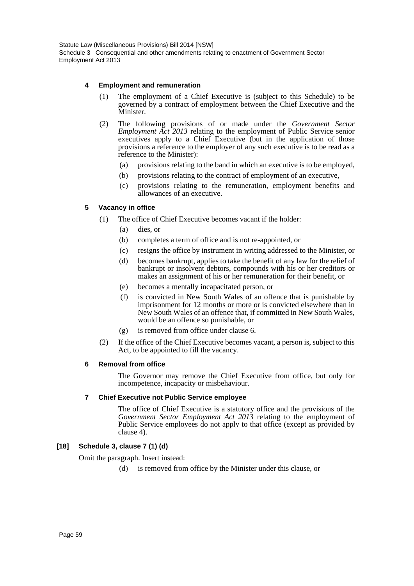### **4 Employment and remuneration**

- (1) The employment of a Chief Executive is (subject to this Schedule) to be governed by a contract of employment between the Chief Executive and the **Minister**
- (2) The following provisions of or made under the *Government Sector Employment Act 2013* relating to the employment of Public Service senior executives apply to a Chief Executive (but in the application of those provisions a reference to the employer of any such executive is to be read as a reference to the Minister):
	- (a) provisions relating to the band in which an executive is to be employed,
	- (b) provisions relating to the contract of employment of an executive,
	- (c) provisions relating to the remuneration, employment benefits and allowances of an executive.

### **5 Vacancy in office**

- (1) The office of Chief Executive becomes vacant if the holder:
	- (a) dies, or
	- (b) completes a term of office and is not re-appointed, or
	- (c) resigns the office by instrument in writing addressed to the Minister, or
	- (d) becomes bankrupt, applies to take the benefit of any law for the relief of bankrupt or insolvent debtors, compounds with his or her creditors or makes an assignment of his or her remuneration for their benefit, or
	- (e) becomes a mentally incapacitated person, or
	- (f) is convicted in New South Wales of an offence that is punishable by imprisonment for 12 months or more or is convicted elsewhere than in New South Wales of an offence that, if committed in New South Wales, would be an offence so punishable, or
	- (g) is removed from office under clause 6.
- (2) If the office of the Chief Executive becomes vacant, a person is, subject to this Act, to be appointed to fill the vacancy.

### **6 Removal from office**

The Governor may remove the Chief Executive from office, but only for incompetence, incapacity or misbehaviour.

### **7 Chief Executive not Public Service employee**

The office of Chief Executive is a statutory office and the provisions of the *Government Sector Employment Act 2013* relating to the employment of Public Service employees do not apply to that office (except as provided by clause 4).

### **[18] Schedule 3, clause 7 (1) (d)**

Omit the paragraph. Insert instead:

(d) is removed from office by the Minister under this clause, or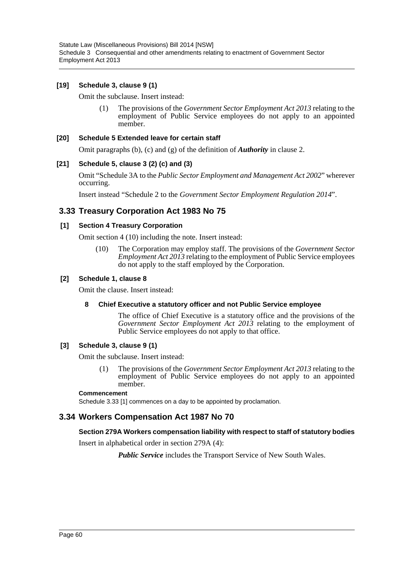### **[19] Schedule 3, clause 9 (1)**

Omit the subclause. Insert instead:

(1) The provisions of the *Government Sector Employment Act 2013* relating to the employment of Public Service employees do not apply to an appointed member.

#### **[20] Schedule 5 Extended leave for certain staff**

Omit paragraphs (b), (c) and (g) of the definition of *Authority* in clause 2.

### **[21] Schedule 5, clause 3 (2) (c) and (3)**

Omit "Schedule 3A to the *Public Sector Employment and Management Act 2002*" wherever occurring.

Insert instead "Schedule 2 to the *Government Sector Employment Regulation 2014*".

## **3.33 Treasury Corporation Act 1983 No 75**

### **[1] Section 4 Treasury Corporation**

Omit section 4 (10) including the note. Insert instead:

(10) The Corporation may employ staff. The provisions of the *Government Sector Employment Act 2013* relating to the employment of Public Service employees do not apply to the staff employed by the Corporation.

#### **[2] Schedule 1, clause 8**

Omit the clause. Insert instead:

#### **8 Chief Executive a statutory officer and not Public Service employee**

The office of Chief Executive is a statutory office and the provisions of the *Government Sector Employment Act 2013* relating to the employment of Public Service employees do not apply to that office.

### **[3] Schedule 3, clause 9 (1)**

Omit the subclause. Insert instead:

(1) The provisions of the *Government Sector Employment Act 2013* relating to the employment of Public Service employees do not apply to an appointed member.

#### **Commencement**

Schedule 3.33 [1] commences on a day to be appointed by proclamation.

### **3.34 Workers Compensation Act 1987 No 70**

### **Section 279A Workers compensation liability with respect to staff of statutory bodies**

Insert in alphabetical order in section 279A (4):

*Public Service* includes the Transport Service of New South Wales.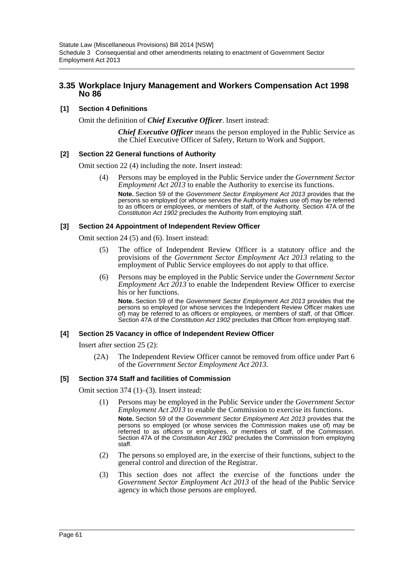### **3.35 Workplace Injury Management and Workers Compensation Act 1998 No 86**

### **[1] Section 4 Definitions**

Omit the definition of *Chief Executive Officer*. Insert instead:

*Chief Executive Officer* means the person employed in the Public Service as the Chief Executive Officer of Safety, Return to Work and Support.

### **[2] Section 22 General functions of Authority**

Omit section 22 (4) including the note. Insert instead:

(4) Persons may be employed in the Public Service under the *Government Sector Employment Act 2013* to enable the Authority to exercise its functions. **Note.** Section 59 of the *Government Sector Employment Act 2013* provides that the persons so employed (or whose services the Authority makes use of) may be referred to as officers or employees, or members of staff, of the Authority. Section 47A of the *Constitution Act 1902* precludes the Authority from employing staff.

#### **[3] Section 24 Appointment of Independent Review Officer**

Omit section 24 (5) and (6). Insert instead:

- (5) The office of Independent Review Officer is a statutory office and the provisions of the *Government Sector Employment Act 2013* relating to the employment of Public Service employees do not apply to that office.
- (6) Persons may be employed in the Public Service under the *Government Sector Employment Act 2013* to enable the Independent Review Officer to exercise his or her functions.

**Note.** Section 59 of the *Government Sector Employment Act 2013* provides that the persons so employed (or whose services the Independent Review Officer makes use of) may be referred to as officers or employees, or members of staff, of that Officer. Section 47A of the *Constitution Act 1902* precludes that Officer from employing staff.

#### **[4] Section 25 Vacancy in office of Independent Review Officer**

Insert after section 25 (2):

(2A) The Independent Review Officer cannot be removed from office under Part 6 of the *Government Sector Employment Act 2013*.

### **[5] Section 374 Staff and facilities of Commission**

Omit section 374 (1)–(3). Insert instead:

- (1) Persons may be employed in the Public Service under the *Government Sector Employment Act 2013* to enable the Commission to exercise its functions. **Note.** Section 59 of the *Government Sector Employment Act 2013* provides that the persons so employed (or whose services the Commission makes use of) may be referred to as officers or employees, or members of staff, of the Commission. Section 47A of the *Constitution Act 1902* precludes the Commission from employing staff.
- (2) The persons so employed are, in the exercise of their functions, subject to the general control and direction of the Registrar.
- (3) This section does not affect the exercise of the functions under the *Government Sector Employment Act 2013* of the head of the Public Service agency in which those persons are employed.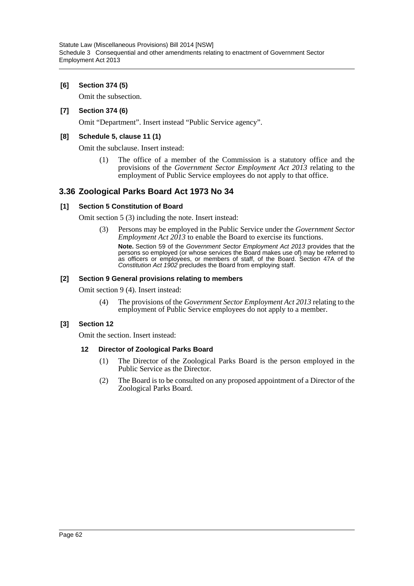### **[6] Section 374 (5)**

Omit the subsection.

### **[7] Section 374 (6)**

Omit "Department". Insert instead "Public Service agency".

### **[8] Schedule 5, clause 11 (1)**

Omit the subclause. Insert instead:

(1) The office of a member of the Commission is a statutory office and the provisions of the *Government Sector Employment Act 2013* relating to the employment of Public Service employees do not apply to that office.

# **3.36 Zoological Parks Board Act 1973 No 34**

### **[1] Section 5 Constitution of Board**

Omit section 5 (3) including the note. Insert instead:

(3) Persons may be employed in the Public Service under the *Government Sector Employment Act 2013* to enable the Board to exercise its functions. **Note.** Section 59 of the *Government Sector Employment Act 2013* provides that the persons so employed (or whose services the Board makes use of) may be referred to as officers or employees, or members of staff, of the Board. Section 47A of the *Constitution Act 1902* precludes the Board from employing staff.

### **[2] Section 9 General provisions relating to members**

Omit section 9 (4). Insert instead:

(4) The provisions of the *Government Sector Employment Act 2013* relating to the employment of Public Service employees do not apply to a member.

### **[3] Section 12**

Omit the section. Insert instead:

### **12 Director of Zoological Parks Board**

- (1) The Director of the Zoological Parks Board is the person employed in the Public Service as the Director.
- (2) The Board is to be consulted on any proposed appointment of a Director of the Zoological Parks Board.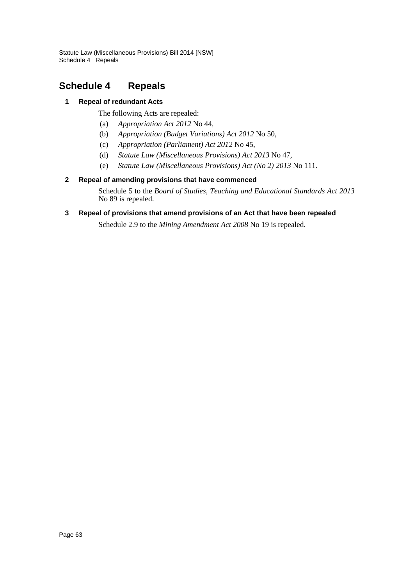# <span id="page-63-0"></span>**Schedule 4 Repeals**

## **1 Repeal of redundant Acts**

The following Acts are repealed:

- (a) *Appropriation Act 2012* No 44,
- (b) *Appropriation (Budget Variations) Act 2012* No 50,
- (c) *Appropriation (Parliament) Act 2012* No 45,
- (d) *Statute Law (Miscellaneous Provisions) Act 2013* No 47,
- (e) *Statute Law (Miscellaneous Provisions) Act (No 2) 2013* No 111.

### **2 Repeal of amending provisions that have commenced**

Schedule 5 to the *Board of Studies, Teaching and Educational Standards Act 2013* No 89 is repealed.

### **3 Repeal of provisions that amend provisions of an Act that have been repealed**

Schedule 2.9 to the *Mining Amendment Act 2008* No 19 is repealed.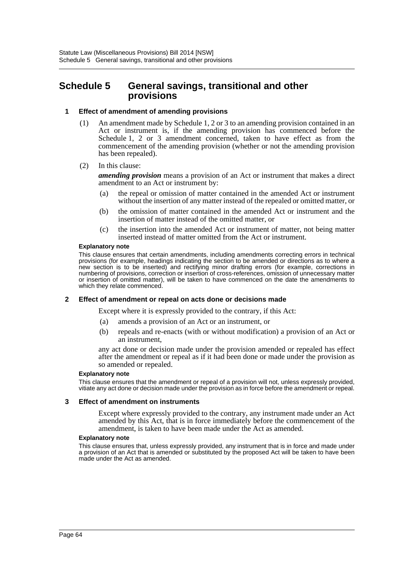# <span id="page-64-0"></span>**Schedule 5 General savings, transitional and other provisions**

#### **1 Effect of amendment of amending provisions**

- (1) An amendment made by Schedule 1, 2 or 3 to an amending provision contained in an Act or instrument is, if the amending provision has commenced before the Schedule 1, 2 or 3 amendment concerned, taken to have effect as from the commencement of the amending provision (whether or not the amending provision has been repealed).
- (2) In this clause:

*amending provision* means a provision of an Act or instrument that makes a direct amendment to an Act or instrument by:

- (a) the repeal or omission of matter contained in the amended Act or instrument without the insertion of any matter instead of the repealed or omitted matter, or
- (b) the omission of matter contained in the amended Act or instrument and the insertion of matter instead of the omitted matter, or
- (c) the insertion into the amended Act or instrument of matter, not being matter inserted instead of matter omitted from the Act or instrument.

#### **Explanatory note**

This clause ensures that certain amendments, including amendments correcting errors in technical provisions (for example, headings indicating the section to be amended or directions as to where a new section is to be inserted) and rectifying minor drafting errors (for example, corrections in numbering of provisions, correction or insertion of cross-references, omission of unnecessary matter or insertion of omitted matter), will be taken to have commenced on the date the amendments to which they relate commenced.

#### **2 Effect of amendment or repeal on acts done or decisions made**

Except where it is expressly provided to the contrary, if this Act:

- (a) amends a provision of an Act or an instrument, or
- (b) repeals and re-enacts (with or without modification) a provision of an Act or an instrument,

any act done or decision made under the provision amended or repealed has effect after the amendment or repeal as if it had been done or made under the provision as so amended or repealed.

#### **Explanatory note**

This clause ensures that the amendment or repeal of a provision will not, unless expressly provided, vitiate any act done or decision made under the provision as in force before the amendment or repeal.

#### **3 Effect of amendment on instruments**

Except where expressly provided to the contrary, any instrument made under an Act amended by this Act, that is in force immediately before the commencement of the amendment, is taken to have been made under the Act as amended.

#### **Explanatory note**

This clause ensures that, unless expressly provided, any instrument that is in force and made under a provision of an Act that is amended or substituted by the proposed Act will be taken to have been made under the Act as amended.